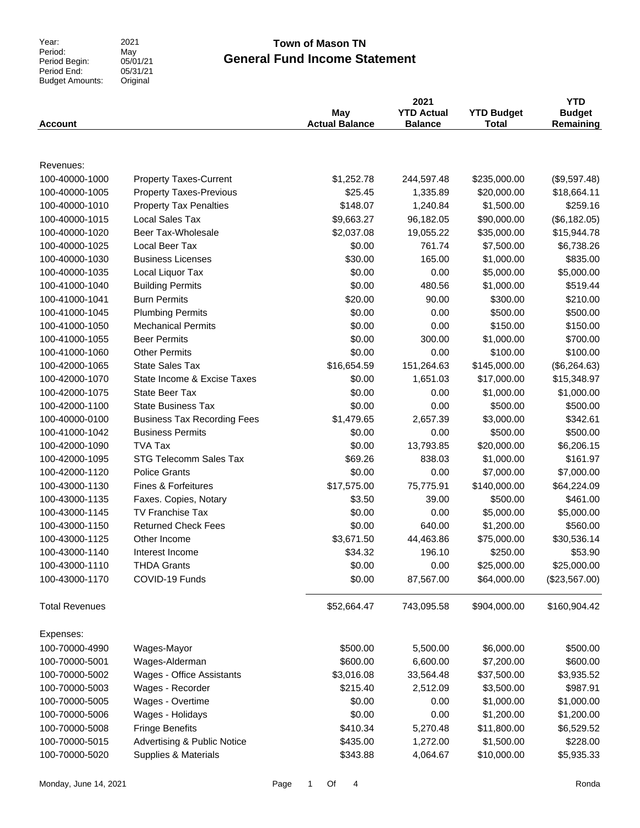Year:<br>Period: Period Begin: Period End: Budget Amounts: 2021 Original

#### May 05/01/21  $05/31/21$

**General Fund Income Statement Town of Mason TN** 

| <b>Account</b>        |                                        | May<br><b>Actual Balance</b> | 2021<br><b>YTD Actual</b><br><b>Balance</b> | <b>YTD Budget</b><br><b>Total</b> | <b>YTD</b><br><b>Budget</b><br>Remaining |
|-----------------------|----------------------------------------|------------------------------|---------------------------------------------|-----------------------------------|------------------------------------------|
|                       |                                        |                              |                                             |                                   |                                          |
| Revenues:             |                                        |                              |                                             |                                   |                                          |
| 100-40000-1000        | <b>Property Taxes-Current</b>          | \$1,252.78                   | 244,597.48                                  | \$235,000.00                      | (\$9,597.48)                             |
| 100-40000-1005        | <b>Property Taxes-Previous</b>         | \$25.45                      | 1,335.89                                    | \$20,000.00                       | \$18,664.11                              |
| 100-40000-1010        | <b>Property Tax Penalties</b>          | \$148.07                     | 1,240.84                                    | \$1,500.00                        | \$259.16                                 |
| 100-40000-1015        | Local Sales Tax                        | \$9,663.27                   | 96,182.05                                   | \$90,000.00                       | (\$6,182.05)                             |
| 100-40000-1020        | Beer Tax-Wholesale                     | \$2,037.08                   | 19,055.22                                   | \$35,000.00                       | \$15,944.78                              |
| 100-40000-1025        | Local Beer Tax                         | \$0.00                       | 761.74                                      | \$7,500.00                        | \$6,738.26                               |
| 100-40000-1030        | <b>Business Licenses</b>               | \$30.00                      | 165.00                                      | \$1,000.00                        | \$835.00                                 |
| 100-40000-1035        | Local Liquor Tax                       | \$0.00                       | 0.00                                        | \$5,000.00                        | \$5,000.00                               |
| 100-41000-1040        | <b>Building Permits</b>                | \$0.00                       | 480.56                                      | \$1,000.00                        | \$519.44                                 |
| 100-41000-1041        | <b>Burn Permits</b>                    | \$20.00                      | 90.00                                       | \$300.00                          | \$210.00                                 |
| 100-41000-1045        | <b>Plumbing Permits</b>                | \$0.00                       | 0.00                                        | \$500.00                          | \$500.00                                 |
| 100-41000-1050        | <b>Mechanical Permits</b>              | \$0.00                       | 0.00                                        | \$150.00                          | \$150.00                                 |
| 100-41000-1055        | <b>Beer Permits</b>                    | \$0.00                       | 300.00                                      | \$1,000.00                        | \$700.00                                 |
| 100-41000-1060        | <b>Other Permits</b>                   | \$0.00                       | 0.00                                        | \$100.00                          | \$100.00                                 |
| 100-42000-1065        | <b>State Sales Tax</b>                 | \$16,654.59                  | 151,264.63                                  | \$145,000.00                      | (\$6,264.63)                             |
| 100-42000-1070        | State Income & Excise Taxes            | \$0.00                       | 1,651.03                                    | \$17,000.00                       | \$15,348.97                              |
| 100-42000-1075        | <b>State Beer Tax</b>                  | \$0.00                       | 0.00                                        | \$1,000.00                        | \$1,000.00                               |
| 100-42000-1100        | <b>State Business Tax</b>              | \$0.00                       | 0.00                                        | \$500.00                          | \$500.00                                 |
| 100-40000-0100        | <b>Business Tax Recording Fees</b>     | \$1,479.65                   | 2,657.39                                    | \$3,000.00                        | \$342.61                                 |
| 100-41000-1042        | <b>Business Permits</b>                | \$0.00                       | 0.00                                        | \$500.00                          | \$500.00                                 |
| 100-42000-1090        | <b>TVA Tax</b>                         | \$0.00                       | 13,793.85                                   | \$20,000.00                       | \$6,206.15                               |
| 100-42000-1095        | STG Telecomm Sales Tax                 | \$69.26                      | 838.03                                      | \$1,000.00                        | \$161.97                                 |
| 100-42000-1120        | <b>Police Grants</b>                   | \$0.00                       | 0.00                                        | \$7,000.00                        | \$7,000.00                               |
| 100-43000-1130        | <b>Fines &amp; Forfeitures</b>         | \$17,575.00                  | 75,775.91                                   | \$140,000.00                      | \$64,224.09                              |
| 100-43000-1135        | Faxes. Copies, Notary                  | \$3.50                       | 39.00                                       | \$500.00                          | \$461.00                                 |
| 100-43000-1145        | <b>TV Franchise Tax</b>                | \$0.00                       | 0.00                                        | \$5,000.00                        | \$5,000.00                               |
| 100-43000-1150        | <b>Returned Check Fees</b>             | \$0.00                       | 640.00                                      | \$1,200.00                        | \$560.00                                 |
| 100-43000-1125        | Other Income                           | \$3,671.50                   | 44,463.86                                   | \$75,000.00                       | \$30,536.14                              |
| 100-43000-1140        | Interest Income                        | \$34.32                      | 196.10                                      | \$250.00                          | \$53.90                                  |
| 100-43000-1110        | <b>THDA Grants</b>                     | \$0.00                       | 0.00                                        | \$25,000.00                       | \$25,000.00                              |
| 100-43000-1170        | COVID-19 Funds                         | \$0.00                       | 87,567.00                                   | \$64,000.00                       | (\$23,567.00)                            |
| <b>Total Revenues</b> |                                        | \$52,664.47                  | 743,095.58                                  | \$904,000.00                      | \$160,904.42                             |
| Expenses:             |                                        |                              |                                             |                                   |                                          |
| 100-70000-4990        | Wages-Mayor                            | \$500.00                     | 5,500.00                                    | \$6,000.00                        | \$500.00                                 |
| 100-70000-5001        | Wages-Alderman                         | \$600.00                     | 6,600.00                                    | \$7,200.00                        | \$600.00                                 |
| 100-70000-5002        | Wages - Office Assistants              | \$3,016.08                   | 33,564.48                                   | \$37,500.00                       | \$3,935.52                               |
| 100-70000-5003        | Wages - Recorder                       | \$215.40                     | 2,512.09                                    | \$3,500.00                        | \$987.91                                 |
| 100-70000-5005        | Wages - Overtime                       | \$0.00                       | 0.00                                        | \$1,000.00                        | \$1,000.00                               |
| 100-70000-5006        | Wages - Holidays                       | \$0.00                       | 0.00                                        | \$1,200.00                        | \$1,200.00                               |
| 100-70000-5008        | <b>Fringe Benefits</b>                 | \$410.34                     | 5,270.48                                    | \$11,800.00                       | \$6,529.52                               |
| 100-70000-5015        | <b>Advertising &amp; Public Notice</b> | \$435.00                     | 1,272.00                                    | \$1,500.00                        | \$228.00                                 |
| 100-70000-5020        | Supplies & Materials                   | \$343.88                     | 4,064.67                                    | \$10,000.00                       | \$5,935.33                               |
|                       |                                        |                              |                                             |                                   |                                          |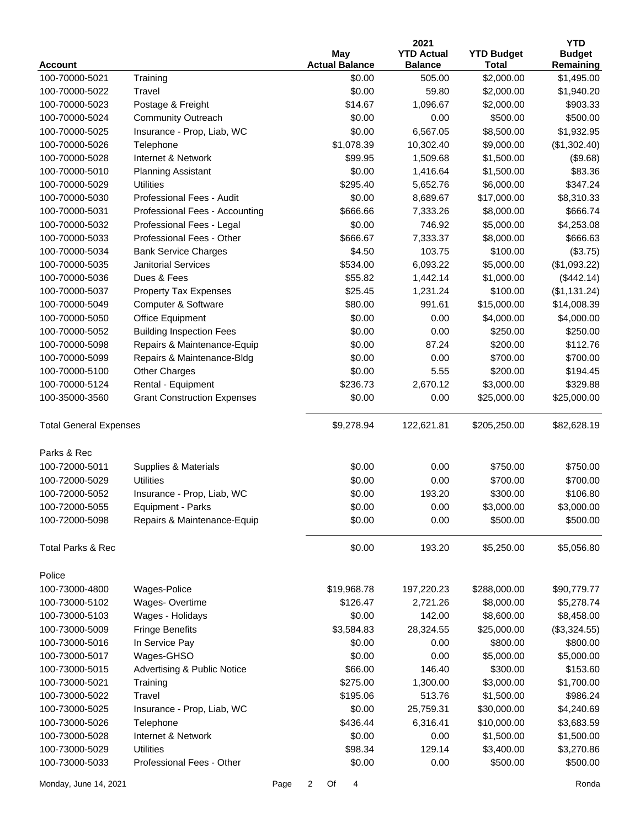|                               |                                        |      |                           | 2021              |                   | <b>YTD</b>    |
|-------------------------------|----------------------------------------|------|---------------------------|-------------------|-------------------|---------------|
|                               |                                        |      | May                       | <b>YTD Actual</b> | <b>YTD Budget</b> | <b>Budget</b> |
| <b>Account</b>                |                                        |      | <b>Actual Balance</b>     | <b>Balance</b>    | <b>Total</b>      | Remaining     |
| 100-70000-5021                | Training                               |      | \$0.00                    | 505.00            | \$2,000.00        | \$1,495.00    |
| 100-70000-5022                | Travel                                 |      | \$0.00                    | 59.80             | \$2,000.00        | \$1,940.20    |
| 100-70000-5023                | Postage & Freight                      |      | \$14.67                   | 1,096.67          | \$2,000.00        | \$903.33      |
| 100-70000-5024                | <b>Community Outreach</b>              |      | \$0.00                    | 0.00              | \$500.00          | \$500.00      |
| 100-70000-5025                | Insurance - Prop, Liab, WC             |      | \$0.00                    | 6,567.05          | \$8,500.00        | \$1,932.95    |
| 100-70000-5026                | Telephone                              |      | \$1,078.39                | 10,302.40         | \$9,000.00        | (\$1,302.40)  |
| 100-70000-5028                | Internet & Network                     |      | \$99.95                   | 1,509.68          | \$1,500.00        | (\$9.68)      |
| 100-70000-5010                | <b>Planning Assistant</b>              |      | \$0.00                    | 1,416.64          | \$1,500.00        | \$83.36       |
| 100-70000-5029                | <b>Utilities</b>                       |      | \$295.40                  | 5,652.76          | \$6,000.00        | \$347.24      |
| 100-70000-5030                | Professional Fees - Audit              |      | \$0.00                    | 8,689.67          | \$17,000.00       | \$8,310.33    |
| 100-70000-5031                | Professional Fees - Accounting         |      | \$666.66                  | 7,333.26          | \$8,000.00        | \$666.74      |
| 100-70000-5032                | Professional Fees - Legal              |      | \$0.00                    | 746.92            | \$5,000.00        | \$4,253.08    |
| 100-70000-5033                | Professional Fees - Other              |      | \$666.67                  | 7,333.37          | \$8,000.00        | \$666.63      |
| 100-70000-5034                | <b>Bank Service Charges</b>            |      | \$4.50                    | 103.75            | \$100.00          | (\$3.75)      |
| 100-70000-5035                | <b>Janitorial Services</b>             |      | \$534.00                  | 6,093.22          | \$5,000.00        | (\$1,093.22)  |
| 100-70000-5036                | Dues & Fees                            |      | \$55.82                   | 1,442.14          | \$1,000.00        | (\$442.14)    |
| 100-70000-5037                | <b>Property Tax Expenses</b>           |      | \$25.45                   | 1,231.24          | \$100.00          | (\$1,131.24)  |
| 100-70000-5049                | Computer & Software                    |      | \$80.00                   | 991.61            | \$15,000.00       | \$14,008.39   |
| 100-70000-5050                | Office Equipment                       |      | \$0.00                    | 0.00              | \$4,000.00        | \$4,000.00    |
| 100-70000-5052                | <b>Building Inspection Fees</b>        |      | \$0.00                    | 0.00              | \$250.00          | \$250.00      |
| 100-70000-5098                | Repairs & Maintenance-Equip            |      | \$0.00                    | 87.24             | \$200.00          | \$112.76      |
| 100-70000-5099                | Repairs & Maintenance-Bldg             |      | \$0.00                    | 0.00              | \$700.00          | \$700.00      |
| 100-70000-5100                | <b>Other Charges</b>                   |      | \$0.00                    | 5.55              | \$200.00          | \$194.45      |
| 100-70000-5124                | Rental - Equipment                     |      | \$236.73                  | 2,670.12          | \$3,000.00        | \$329.88      |
| 100-35000-3560                | <b>Grant Construction Expenses</b>     |      | \$0.00                    | 0.00              | \$25,000.00       | \$25,000.00   |
| <b>Total General Expenses</b> |                                        |      | \$9,278.94                | 122,621.81        | \$205,250.00      | \$82,628.19   |
| Parks & Rec                   |                                        |      |                           |                   |                   |               |
| 100-72000-5011                | Supplies & Materials                   |      | \$0.00                    | 0.00              | \$750.00          | \$750.00      |
| 100-72000-5029                | <b>Utilities</b>                       |      | \$0.00                    | 0.00              | \$700.00          | \$700.00      |
| 100-72000-5052                | Insurance - Prop, Liab, WC             |      | \$0.00                    | 193.20            | \$300.00          | \$106.80      |
| 100-72000-5055                | Equipment - Parks                      |      | \$0.00                    | 0.00              | \$3,000.00        | \$3,000.00    |
| 100-72000-5098                | Repairs & Maintenance-Equip            |      | \$0.00                    | 0.00              | \$500.00          | \$500.00      |
| Total Parks & Rec             |                                        |      | \$0.00                    | 193.20            | \$5,250.00        | \$5,056.80    |
| Police                        |                                        |      |                           |                   |                   |               |
| 100-73000-4800                | Wages-Police                           |      | \$19,968.78               | 197,220.23        | \$288,000.00      | \$90,779.77   |
| 100-73000-5102                | Wages-Overtime                         |      | \$126.47                  | 2,721.26          | \$8,000.00        | \$5,278.74    |
| 100-73000-5103                | Wages - Holidays                       |      | \$0.00                    | 142.00            | \$8,600.00        | \$8,458.00    |
| 100-73000-5009                | <b>Fringe Benefits</b>                 |      | \$3,584.83                | 28,324.55         | \$25,000.00       | (\$3,324.55)  |
| 100-73000-5016                | In Service Pay                         |      | \$0.00                    | 0.00              | \$800.00          | \$800.00      |
| 100-73000-5017                | Wages-GHSO                             |      | \$0.00                    | 0.00              | \$5,000.00        | \$5,000.00    |
| 100-73000-5015                | <b>Advertising &amp; Public Notice</b> |      | \$66.00                   | 146.40            | \$300.00          | \$153.60      |
| 100-73000-5021                | Training                               |      | \$275.00                  | 1,300.00          | \$3,000.00        | \$1,700.00    |
| 100-73000-5022                | Travel                                 |      | \$195.06                  | 513.76            | \$1,500.00        | \$986.24      |
| 100-73000-5025                | Insurance - Prop, Liab, WC             |      | \$0.00                    | 25,759.31         | \$30,000.00       | \$4,240.69    |
| 100-73000-5026                | Telephone                              |      | \$436.44                  | 6,316.41          | \$10,000.00       | \$3,683.59    |
| 100-73000-5028                | Internet & Network                     |      | \$0.00                    | 0.00              | \$1,500.00        | \$1,500.00    |
| 100-73000-5029                | <b>Utilities</b>                       |      | \$98.34                   | 129.14            | \$3,400.00        | \$3,270.86    |
| 100-73000-5033                | Professional Fees - Other              |      | \$0.00                    | 0.00              | \$500.00          | \$500.00      |
|                               |                                        |      |                           |                   |                   |               |
| Monday, June 14, 2021         |                                        | Page | $\overline{2}$<br>Of<br>4 |                   |                   | Ronda         |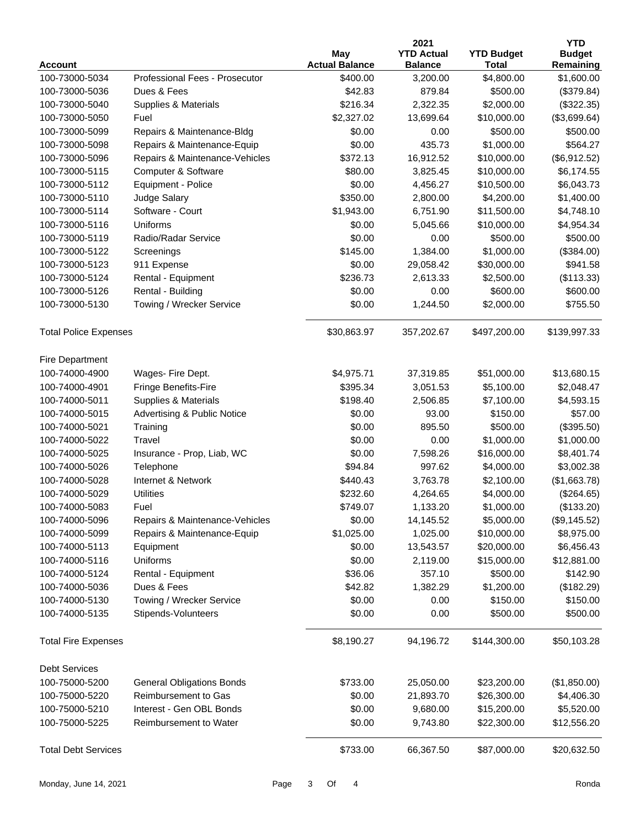|                                  |                                               |                                   | 2021              |                   | <b>YTD</b>    |
|----------------------------------|-----------------------------------------------|-----------------------------------|-------------------|-------------------|---------------|
|                                  |                                               | May                               | <b>YTD Actual</b> | <b>YTD Budget</b> | <b>Budget</b> |
| <b>Account</b>                   |                                               | <b>Actual Balance</b><br>\$400.00 | <b>Balance</b>    | <b>Total</b>      | Remaining     |
| 100-73000-5034                   | Professional Fees - Prosecutor<br>Dues & Fees |                                   | 3,200.00          | \$4,800.00        | \$1,600.00    |
| 100-73000-5036<br>100-73000-5040 |                                               | \$42.83<br>\$216.34               | 879.84            | \$500.00          | (\$379.84)    |
|                                  | Supplies & Materials                          |                                   | 2,322.35          | \$2,000.00        | (\$322.35)    |
| 100-73000-5050                   | Fuel                                          | \$2,327.02                        | 13,699.64         | \$10,000.00       | (\$3,699.64)  |
| 100-73000-5099                   | Repairs & Maintenance-Bldg                    | \$0.00                            | 0.00              | \$500.00          | \$500.00      |
| 100-73000-5098                   | Repairs & Maintenance-Equip                   | \$0.00                            | 435.73            | \$1,000.00        | \$564.27      |
| 100-73000-5096                   | Repairs & Maintenance-Vehicles                | \$372.13                          | 16,912.52         | \$10,000.00       | (\$6,912.52)  |
| 100-73000-5115                   | Computer & Software                           | \$80.00                           | 3,825.45          | \$10,000.00       | \$6,174.55    |
| 100-73000-5112                   | Equipment - Police                            | \$0.00                            | 4,456.27          | \$10,500.00       | \$6,043.73    |
| 100-73000-5110                   | Judge Salary                                  | \$350.00                          | 2,800.00          | \$4,200.00        | \$1,400.00    |
| 100-73000-5114                   | Software - Court                              | \$1,943.00                        | 6,751.90          | \$11,500.00       | \$4,748.10    |
| 100-73000-5116                   | Uniforms                                      | \$0.00                            | 5,045.66          | \$10,000.00       | \$4,954.34    |
| 100-73000-5119                   | Radio/Radar Service                           | \$0.00                            | 0.00              | \$500.00          | \$500.00      |
| 100-73000-5122                   | Screenings                                    | \$145.00                          | 1,384.00          | \$1,000.00        | (\$384.00)    |
| 100-73000-5123                   | 911 Expense                                   | \$0.00                            | 29,058.42         | \$30,000.00       | \$941.58      |
| 100-73000-5124                   | Rental - Equipment                            | \$236.73                          | 2,613.33          | \$2,500.00        | (\$113.33)    |
| 100-73000-5126                   | Rental - Building                             | \$0.00                            | 0.00              | \$600.00          | \$600.00      |
| 100-73000-5130                   | Towing / Wrecker Service                      | \$0.00                            | 1,244.50          | \$2,000.00        | \$755.50      |
| <b>Total Police Expenses</b>     |                                               | \$30,863.97                       | 357,202.67        | \$497,200.00      | \$139,997.33  |
| Fire Department                  |                                               |                                   |                   |                   |               |
| 100-74000-4900                   | Wages- Fire Dept.                             | \$4,975.71                        | 37,319.85         | \$51,000.00       | \$13,680.15   |
| 100-74000-4901                   | Fringe Benefits-Fire                          | \$395.34                          | 3,051.53          | \$5,100.00        | \$2,048.47    |
| 100-74000-5011                   | Supplies & Materials                          | \$198.40                          | 2,506.85          | \$7,100.00        | \$4,593.15    |
| 100-74000-5015                   | Advertising & Public Notice                   | \$0.00                            | 93.00             | \$150.00          | \$57.00       |
| 100-74000-5021                   | Training                                      | \$0.00                            | 895.50            | \$500.00          | (\$395.50)    |
| 100-74000-5022                   | Travel                                        | \$0.00                            | 0.00              | \$1,000.00        | \$1,000.00    |
| 100-74000-5025                   | Insurance - Prop, Liab, WC                    | \$0.00                            | 7,598.26          | \$16,000.00       | \$8,401.74    |
| 100-74000-5026                   | Telephone                                     | \$94.84                           | 997.62            | \$4,000.00        | \$3,002.38    |
| 100-74000-5028                   | Internet & Network                            | \$440.43                          | 3,763.78          | \$2,100.00        | (\$1,663.78)  |
| 100-74000-5029                   | <b>Utilities</b>                              | \$232.60                          | 4,264.65          | \$4,000.00        | (\$264.65)    |
| 100-74000-5083                   | Fuel                                          | \$749.07                          | 1,133.20          | \$1,000.00        | (\$133.20)    |
| 100-74000-5096                   | Repairs & Maintenance-Vehicles                | \$0.00                            | 14,145.52         | \$5,000.00        | (\$9,145.52)  |
| 100-74000-5099                   | Repairs & Maintenance-Equip                   | \$1,025.00                        | 1,025.00          | \$10,000.00       | \$8,975.00    |
| 100-74000-5113                   | Equipment                                     | \$0.00                            | 13,543.57         | \$20,000.00       | \$6,456.43    |
| 100-74000-5116                   | Uniforms                                      | \$0.00                            | 2,119.00          | \$15,000.00       | \$12,881.00   |
| 100-74000-5124                   | Rental - Equipment                            | \$36.06                           | 357.10            | \$500.00          | \$142.90      |
| 100-74000-5036                   | Dues & Fees                                   | \$42.82                           | 1,382.29          | \$1,200.00        | (\$182.29)    |
| 100-74000-5130                   | Towing / Wrecker Service                      | \$0.00                            | 0.00              | \$150.00          | \$150.00      |
| 100-74000-5135                   | Stipends-Volunteers                           | \$0.00                            | 0.00              | \$500.00          | \$500.00      |
| <b>Total Fire Expenses</b>       |                                               | \$8,190.27                        | 94,196.72         | \$144,300.00      | \$50,103.28   |
|                                  |                                               |                                   |                   |                   |               |
| <b>Debt Services</b>             |                                               |                                   |                   |                   |               |
| 100-75000-5200                   | <b>General Obligations Bonds</b>              | \$733.00                          | 25,050.00         | \$23,200.00       | (\$1,850.00)  |
| 100-75000-5220                   | Reimbursement to Gas                          | \$0.00                            | 21,893.70         | \$26,300.00       | \$4,406.30    |
| 100-75000-5210                   | Interest - Gen OBL Bonds                      | \$0.00                            | 9,680.00          | \$15,200.00       | \$5,520.00    |
| 100-75000-5225                   | Reimbursement to Water                        | \$0.00                            | 9,743.80          | \$22,300.00       | \$12,556.20   |
| <b>Total Debt Services</b>       |                                               | \$733.00                          | 66,367.50         | \$87,000.00       | \$20,632.50   |
|                                  |                                               |                                   |                   |                   |               |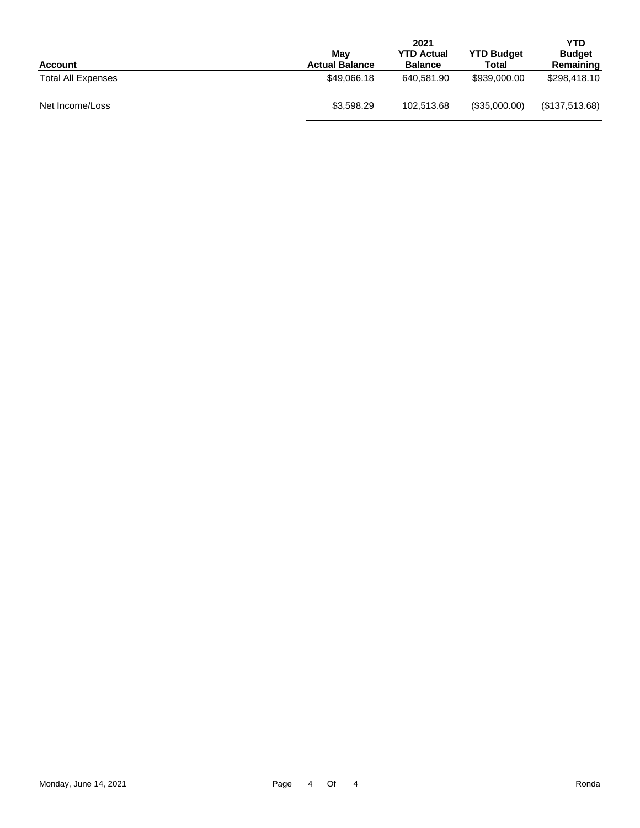| <b>Account</b>            | Mav<br><b>Actual Balance</b> | 2021<br><b>YTD Actual</b><br><b>Balance</b> | <b>YTD Budget</b><br>Total | <b>YTD</b><br><b>Budget</b><br>Remaining |
|---------------------------|------------------------------|---------------------------------------------|----------------------------|------------------------------------------|
| <b>Total All Expenses</b> | \$49,066.18                  | 640.581.90                                  | \$939,000.00               | \$298,418.10                             |
| Net Income/Loss           | \$3,598.29                   | 102.513.68                                  | (\$35,000.00)              | (\$137,513.68)                           |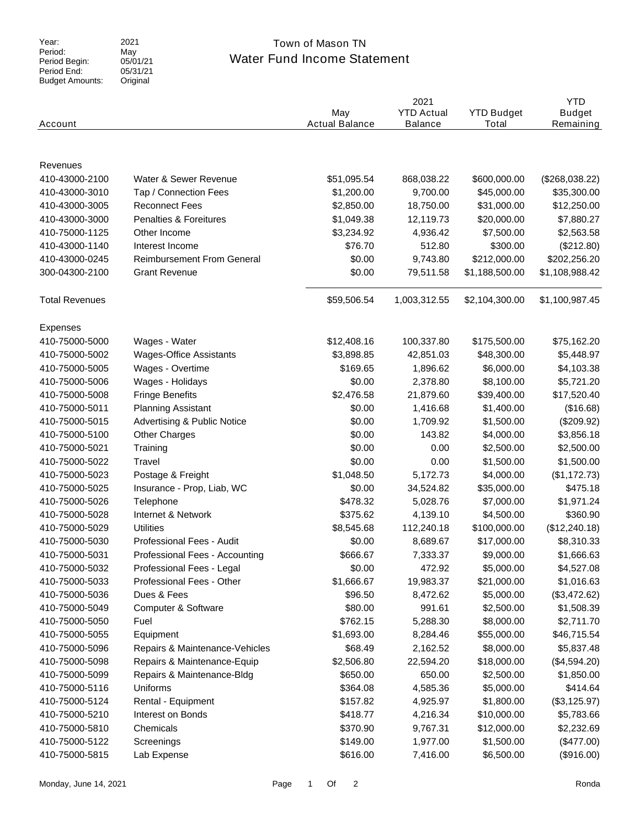Year:<br>Period: Period Begin: Period End: Budget Amounts: 2021 May 05/01/21  $05/31/21$ Original

### Water Fund Income Statement Town of Mason TN

|                       |                                        | May<br><b>Actual Balance</b> | 2021<br><b>YTD Actual</b> | <b>YTD Budget</b><br>Total | <b>YTD</b><br><b>Budget</b> |
|-----------------------|----------------------------------------|------------------------------|---------------------------|----------------------------|-----------------------------|
| Account               |                                        |                              | <b>Balance</b>            |                            | Remaining                   |
|                       |                                        |                              |                           |                            |                             |
| Revenues              |                                        |                              |                           |                            |                             |
| 410-43000-2100        | Water & Sewer Revenue                  | \$51,095.54                  | 868,038.22                | \$600,000.00               | (\$268,038.22)              |
| 410-43000-3010        | Tap / Connection Fees                  | \$1,200.00                   | 9,700.00                  | \$45,000.00                | \$35,300.00                 |
| 410-43000-3005        | <b>Reconnect Fees</b>                  | \$2,850.00                   | 18,750.00                 | \$31,000.00                | \$12,250.00                 |
| 410-43000-3000        | Penalties & Foreitures                 | \$1,049.38                   | 12,119.73                 | \$20,000.00                | \$7,880.27                  |
| 410-75000-1125        | Other Income                           | \$3,234.92                   | 4,936.42                  | \$7,500.00                 | \$2,563.58                  |
| 410-43000-1140        | Interest Income                        | \$76.70                      | 512.80                    | \$300.00                   | (\$212.80)                  |
| 410-43000-0245        | <b>Reimbursement From General</b>      | \$0.00                       | 9,743.80                  | \$212,000.00               | \$202,256.20                |
| 300-04300-2100        | <b>Grant Revenue</b>                   | \$0.00                       | 79,511.58                 | \$1,188,500.00             | \$1,108,988.42              |
| <b>Total Revenues</b> |                                        | \$59,506.54                  | 1,003,312.55              | \$2,104,300.00             | \$1,100,987.45              |
| Expenses              |                                        |                              |                           |                            |                             |
| 410-75000-5000        | Wages - Water                          | \$12,408.16                  | 100,337.80                | \$175,500.00               | \$75,162.20                 |
| 410-75000-5002        | <b>Wages-Office Assistants</b>         | \$3,898.85                   | 42,851.03                 | \$48,300.00                | \$5,448.97                  |
| 410-75000-5005        | Wages - Overtime                       | \$169.65                     | 1,896.62                  | \$6,000.00                 | \$4,103.38                  |
| 410-75000-5006        | Wages - Holidays                       | \$0.00                       | 2,378.80                  | \$8,100.00                 | \$5,721.20                  |
| 410-75000-5008        | <b>Fringe Benefits</b>                 | \$2,476.58                   | 21,879.60                 | \$39,400.00                | \$17,520.40                 |
| 410-75000-5011        | <b>Planning Assistant</b>              | \$0.00                       | 1,416.68                  | \$1,400.00                 | (\$16.68)                   |
| 410-75000-5015        | <b>Advertising &amp; Public Notice</b> | \$0.00                       | 1,709.92                  | \$1,500.00                 | (\$209.92)                  |
| 410-75000-5100        | <b>Other Charges</b>                   | \$0.00                       | 143.82                    | \$4,000.00                 | \$3,856.18                  |
| 410-75000-5021        | Training                               | \$0.00                       | 0.00                      | \$2,500.00                 | \$2,500.00                  |
| 410-75000-5022        | Travel                                 | \$0.00                       | 0.00                      | \$1,500.00                 | \$1,500.00                  |
| 410-75000-5023        | Postage & Freight                      | \$1,048.50                   | 5,172.73                  | \$4,000.00                 | (\$1,172.73)                |
| 410-75000-5025        | Insurance - Prop, Liab, WC             | \$0.00                       | 34,524.82                 | \$35,000.00                | \$475.18                    |
| 410-75000-5026        | Telephone                              | \$478.32                     | 5,028.76                  | \$7,000.00                 | \$1,971.24                  |
| 410-75000-5028        | Internet & Network                     | \$375.62                     | 4,139.10                  | \$4,500.00                 | \$360.90                    |
| 410-75000-5029        | <b>Utilities</b>                       | \$8,545.68                   | 112,240.18                | \$100,000.00               | (\$12,240.18)               |
| 410-75000-5030        | Professional Fees - Audit              | \$0.00                       | 8,689.67                  | \$17,000.00                | \$8,310.33                  |
| 410-75000-5031        | Professional Fees - Accounting         | \$666.67                     | 7,333.37                  | \$9,000.00                 | \$1,666.63                  |
| 410-75000-5032        | Professional Fees - Legal              | \$0.00                       | 472.92                    | \$5,000.00                 | \$4,527.08                  |
| 410-75000-5033        | Professional Fees - Other              | \$1,666.67                   | 19,983.37                 | \$21,000.00                | \$1,016.63                  |
| 410-75000-5036        | Dues & Fees                            | \$96.50                      | 8,472.62                  | \$5,000.00                 | (\$3,472.62)                |
| 410-75000-5049        | Computer & Software                    | \$80.00                      | 991.61                    | \$2,500.00                 | \$1,508.39                  |
| 410-75000-5050        | Fuel                                   | \$762.15                     | 5,288.30                  | \$8,000.00                 | \$2,711.70                  |
| 410-75000-5055        | Equipment                              | \$1,693.00                   | 8,284.46                  | \$55,000.00                | \$46,715.54                 |
| 410-75000-5096        | Repairs & Maintenance-Vehicles         | \$68.49                      | 2,162.52                  | \$8,000.00                 | \$5,837.48                  |
| 410-75000-5098        | Repairs & Maintenance-Equip            | \$2,506.80                   | 22,594.20                 | \$18,000.00                | (\$4,594.20)                |
| 410-75000-5099        | Repairs & Maintenance-Bldg             | \$650.00                     | 650.00                    | \$2,500.00                 | \$1,850.00                  |
|                       |                                        |                              |                           |                            |                             |
| 410-75000-5116        | Uniforms                               | \$364.08                     | 4,585.36                  | \$5,000.00                 | \$414.64                    |
| 410-75000-5124        | Rental - Equipment                     | \$157.82                     | 4,925.97                  | \$1,800.00                 | (\$3,125.97)                |
| 410-75000-5210        | Interest on Bonds                      | \$418.77                     | 4,216.34                  | \$10,000.00                | \$5,783.66                  |
| 410-75000-5810        | Chemicals                              | \$370.90                     | 9,767.31                  | \$12,000.00                | \$2,232.69                  |
| 410-75000-5122        | Screenings                             | \$149.00                     | 1,977.00                  | \$1,500.00                 | (\$477.00)                  |
| 410-75000-5815        | Lab Expense                            | \$616.00                     | 7,416.00                  | \$6,500.00                 | (\$916.00)                  |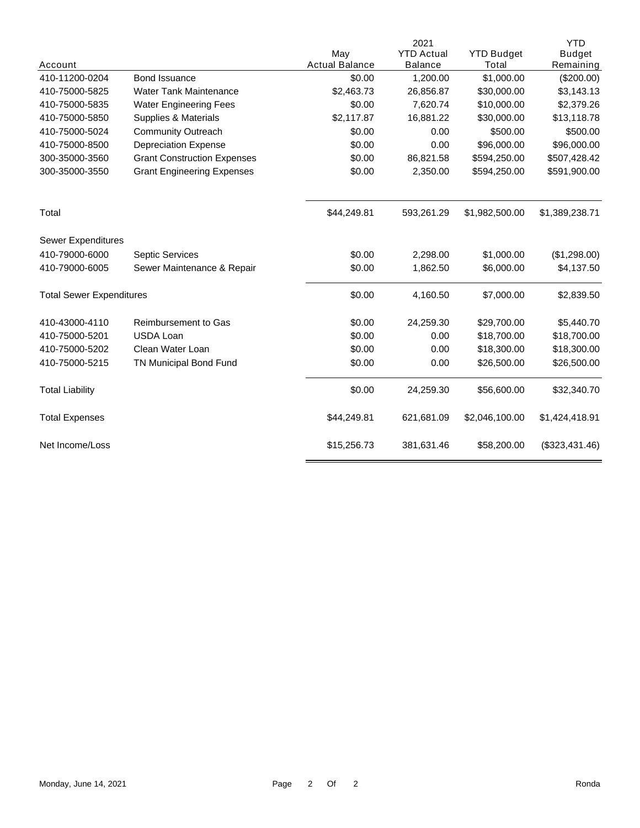|                                 |                                    |                       | 2021              |                   | <b>YTD</b>     |
|---------------------------------|------------------------------------|-----------------------|-------------------|-------------------|----------------|
|                                 |                                    | May                   | <b>YTD Actual</b> | <b>YTD Budget</b> | <b>Budget</b>  |
| Account                         |                                    | <b>Actual Balance</b> | <b>Balance</b>    | Total             | Remaining      |
| 410-11200-0204                  | Bond Issuance                      | \$0.00                | 1,200.00          | \$1,000.00        | (\$200.00)     |
| 410-75000-5825                  | <b>Water Tank Maintenance</b>      | \$2,463.73            | 26,856.87         | \$30,000.00       | \$3,143.13     |
| 410-75000-5835                  | <b>Water Engineering Fees</b>      | \$0.00                | 7,620.74          | \$10,000.00       | \$2,379.26     |
| 410-75000-5850                  | Supplies & Materials               | \$2,117.87            | 16,881.22         | \$30,000.00       | \$13,118.78    |
| 410-75000-5024                  | <b>Community Outreach</b>          | \$0.00                | 0.00              | \$500.00          | \$500.00       |
| 410-75000-8500                  | <b>Depreciation Expense</b>        | \$0.00                | 0.00              | \$96,000.00       | \$96,000.00    |
| 300-35000-3560                  | <b>Grant Construction Expenses</b> | \$0.00                | 86,821.58         | \$594,250.00      | \$507,428.42   |
| 300-35000-3550                  | <b>Grant Engineering Expenses</b>  | \$0.00                | 2,350.00          | \$594,250.00      | \$591,900.00   |
| Total                           |                                    | \$44,249.81           | 593,261.29        | \$1,982,500.00    | \$1,389,238.71 |
| Sewer Expenditures              |                                    |                       |                   |                   |                |
| 410-79000-6000                  | Septic Services                    | \$0.00                | 2,298.00          | \$1,000.00        | (\$1,298.00)   |
| 410-79000-6005                  | Sewer Maintenance & Repair         | \$0.00                | 1,862.50          | \$6,000.00        | \$4,137.50     |
| <b>Total Sewer Expenditures</b> |                                    | \$0.00                | 4,160.50          | \$7,000.00        | \$2,839.50     |
| 410-43000-4110                  | <b>Reimbursement to Gas</b>        | \$0.00                | 24,259.30         | \$29,700.00       | \$5,440.70     |
| 410-75000-5201                  | <b>USDA Loan</b>                   | \$0.00                | 0.00              | \$18,700.00       | \$18,700.00    |
| 410-75000-5202                  | Clean Water Loan                   | \$0.00                | 0.00              | \$18,300.00       | \$18,300.00    |
| 410-75000-5215                  | TN Municipal Bond Fund             | \$0.00                | 0.00              | \$26,500.00       | \$26,500.00    |
| <b>Total Liability</b>          |                                    | \$0.00                | 24,259.30         | \$56,600.00       | \$32,340.70    |
| <b>Total Expenses</b>           |                                    | \$44,249.81           | 621,681.09        | \$2,046,100.00    | \$1,424,418.91 |
| Net Income/Loss                 |                                    | \$15,256.73           | 381,631.46        | \$58,200.00       | (\$323,431.46) |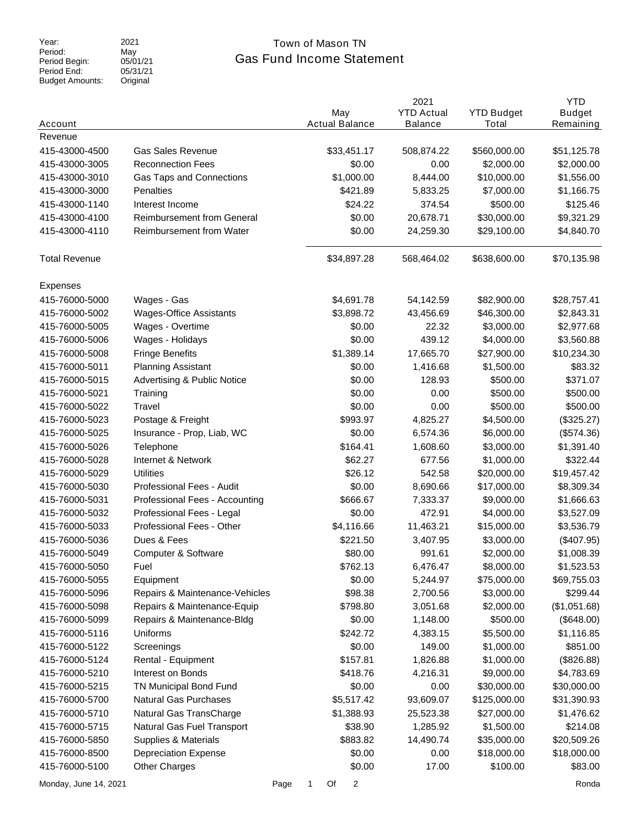Period: Period Begin: Period End: Budget Amounts: 2021 May 05/01/21  $05/31/21$ Original

## Gas Fund Income Statement Year: 2021 2021 Town of Mason TN

| Account               |                                        |      | May<br><b>Actual Balance</b> | 2021<br><b>YTD Actual</b><br><b>Balance</b> | <b>YTD Budget</b><br>Total | <b>YTD</b><br><b>Budget</b><br>Remaining |
|-----------------------|----------------------------------------|------|------------------------------|---------------------------------------------|----------------------------|------------------------------------------|
| Revenue               |                                        |      |                              |                                             |                            |                                          |
| 415-43000-4500        | <b>Gas Sales Revenue</b>               |      | \$33,451.17                  | 508,874.22                                  | \$560,000.00               | \$51,125.78                              |
| 415-43000-3005        | <b>Reconnection Fees</b>               |      | \$0.00                       | 0.00                                        | \$2,000.00                 | \$2,000.00                               |
| 415-43000-3010        | Gas Taps and Connections               |      | \$1,000.00                   | 8,444.00                                    | \$10,000.00                | \$1,556.00                               |
| 415-43000-3000        | <b>Penalties</b>                       |      | \$421.89                     | 5,833.25                                    | \$7,000.00                 | \$1,166.75                               |
| 415-43000-1140        | Interest Income                        |      | \$24.22                      | 374.54                                      | \$500.00                   | \$125.46                                 |
| 415-43000-4100        | <b>Reimbursement from General</b>      |      | \$0.00                       | 20,678.71                                   | \$30,000.00                | \$9,321.29                               |
| 415-43000-4110        | Reimbursement from Water               |      | \$0.00                       | 24,259.30                                   | \$29,100.00                | \$4,840.70                               |
| <b>Total Revenue</b>  |                                        |      | \$34,897.28                  | 568,464.02                                  | \$638,600.00               | \$70,135.98                              |
| <b>Expenses</b>       |                                        |      |                              |                                             |                            |                                          |
| 415-76000-5000        | Wages - Gas                            |      | \$4,691.78                   | 54,142.59                                   | \$82,900.00                | \$28,757.41                              |
| 415-76000-5002        | <b>Wages-Office Assistants</b>         |      | \$3,898.72                   | 43,456.69                                   | \$46,300.00                | \$2,843.31                               |
| 415-76000-5005        | Wages - Overtime                       |      | \$0.00                       | 22.32                                       | \$3,000.00                 | \$2,977.68                               |
| 415-76000-5006        | Wages - Holidays                       |      | \$0.00                       | 439.12                                      | \$4,000.00                 | \$3,560.88                               |
| 415-76000-5008        | <b>Fringe Benefits</b>                 |      | \$1,389.14                   | 17,665.70                                   | \$27,900.00                | \$10,234.30                              |
| 415-76000-5011        | <b>Planning Assistant</b>              |      | \$0.00                       | 1,416.68                                    | \$1,500.00                 | \$83.32                                  |
| 415-76000-5015        | <b>Advertising &amp; Public Notice</b> |      | \$0.00                       | 128.93                                      | \$500.00                   | \$371.07                                 |
| 415-76000-5021        | Training                               |      | \$0.00                       | 0.00                                        | \$500.00                   | \$500.00                                 |
| 415-76000-5022        | Travel                                 |      | \$0.00                       | 0.00                                        | \$500.00                   | \$500.00                                 |
| 415-76000-5023        | Postage & Freight                      |      | \$993.97                     | 4,825.27                                    | \$4,500.00                 | (\$325.27)                               |
| 415-76000-5025        | Insurance - Prop, Liab, WC             |      | \$0.00                       | 6,574.36                                    | \$6,000.00                 | (\$574.36)                               |
| 415-76000-5026        | Telephone                              |      | \$164.41                     | 1,608.60                                    | \$3,000.00                 | \$1,391.40                               |
| 415-76000-5028        | Internet & Network                     |      | \$62.27                      | 677.56                                      | \$1,000.00                 | \$322.44                                 |
| 415-76000-5029        | <b>Utilities</b>                       |      | \$26.12                      | 542.58                                      | \$20,000.00                | \$19,457.42                              |
| 415-76000-5030        | Professional Fees - Audit              |      | \$0.00                       | 8,690.66                                    | \$17,000.00                | \$8,309.34                               |
| 415-76000-5031        | Professional Fees - Accounting         |      | \$666.67                     | 7,333.37                                    | \$9,000.00                 | \$1,666.63                               |
| 415-76000-5032        | Professional Fees - Legal              |      | \$0.00                       | 472.91                                      | \$4,000.00                 | \$3,527.09                               |
| 415-76000-5033        | Professional Fees - Other              |      | \$4,116.66                   | 11,463.21                                   | \$15,000.00                | \$3,536.79                               |
| 415-76000-5036        | Dues & Fees                            |      | \$221.50                     | 3,407.95                                    | \$3,000.00                 | (\$407.95)                               |
| 415-76000-5049        | Computer & Software                    |      | \$80.00                      | 991.61                                      | \$2,000.00                 | \$1,008.39                               |
| 415-76000-5050        | Fuel                                   |      | \$762.13                     | 6,476.47                                    | \$8,000.00                 | \$1,523.53                               |
| 415-76000-5055        | Equipment                              |      | \$0.00                       | 5,244.97                                    | \$75,000.00                | \$69,755.03                              |
| 415-76000-5096        | Repairs & Maintenance-Vehicles         |      | \$98.38                      | 2,700.56                                    | \$3,000.00                 | \$299.44                                 |
| 415-76000-5098        | Repairs & Maintenance-Equip            |      | \$798.80                     | 3,051.68                                    | \$2,000.00                 | (\$1,051.68)                             |
| 415-76000-5099        | Repairs & Maintenance-Bldg             |      | \$0.00                       | 1,148.00                                    | \$500.00                   | (\$648.00)                               |
| 415-76000-5116        | <b>Uniforms</b>                        |      | \$242.72                     | 4,383.15                                    | \$5,500.00                 | \$1,116.85                               |
| 415-76000-5122        | Screenings                             |      | \$0.00                       | 149.00                                      | \$1,000.00                 | \$851.00                                 |
| 415-76000-5124        | Rental - Equipment                     |      | \$157.81                     | 1,826.88                                    | \$1,000.00                 | (\$826.88)                               |
| 415-76000-5210        | Interest on Bonds                      |      | \$418.76                     | 4,216.31                                    | \$9,000.00                 | \$4,783.69                               |
| 415-76000-5215        | TN Municipal Bond Fund                 |      | \$0.00                       | 0.00                                        | \$30,000.00                | \$30,000.00                              |
| 415-76000-5700        | <b>Natural Gas Purchases</b>           |      | \$5,517.42                   | 93,609.07                                   | \$125,000.00               | \$31,390.93                              |
| 415-76000-5710        | Natural Gas TransCharge                |      | \$1,388.93                   | 25,523.38                                   | \$27,000.00                | \$1,476.62                               |
| 415-76000-5715        | Natural Gas Fuel Transport             |      | \$38.90                      | 1,285.92                                    | \$1,500.00                 | \$214.08                                 |
| 415-76000-5850        | Supplies & Materials                   |      | \$883.82                     | 14,490.74                                   | \$35,000.00                | \$20,509.26                              |
| 415-76000-8500        | <b>Depreciation Expense</b>            |      | \$0.00                       | 0.00                                        | \$18,000.00                | \$18,000.00                              |
| 415-76000-5100        | <b>Other Charges</b>                   |      | \$0.00                       | 17.00                                       | \$100.00                   | \$83.00                                  |
| Monday, June 14, 2021 |                                        | Page | 1<br>Of<br>2                 |                                             |                            | Ronda                                    |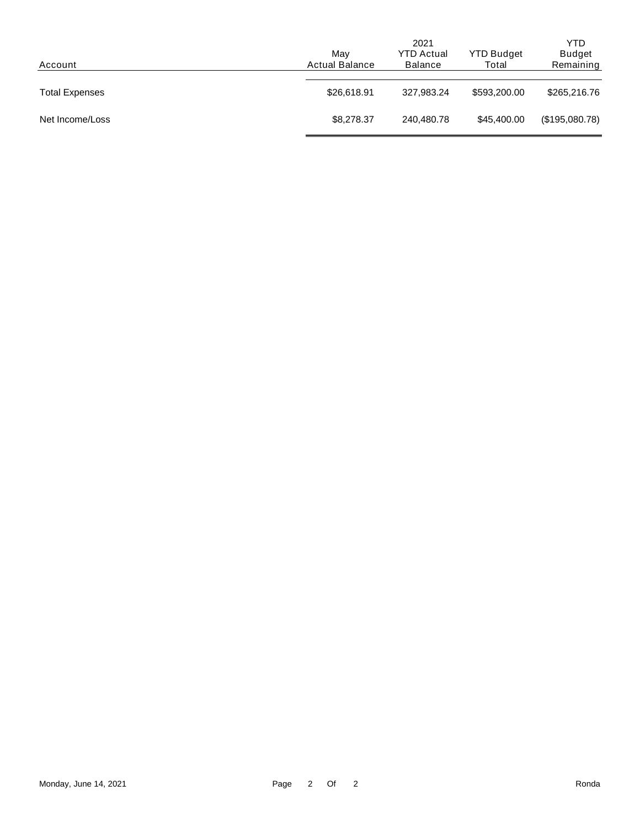| Account               | Mav<br><b>Actual Balance</b> | 2021<br><b>YTD Actual</b><br><b>Balance</b> | <b>YTD Budget</b><br>Total | YTD<br><b>Budget</b><br>Remaining |
|-----------------------|------------------------------|---------------------------------------------|----------------------------|-----------------------------------|
| <b>Total Expenses</b> | \$26,618.91                  | 327.983.24                                  | \$593,200.00               | \$265,216.76                      |
| Net Income/Loss       | \$8,278.37                   | 240,480.78                                  | \$45,400.00                | (\$195,080.78)                    |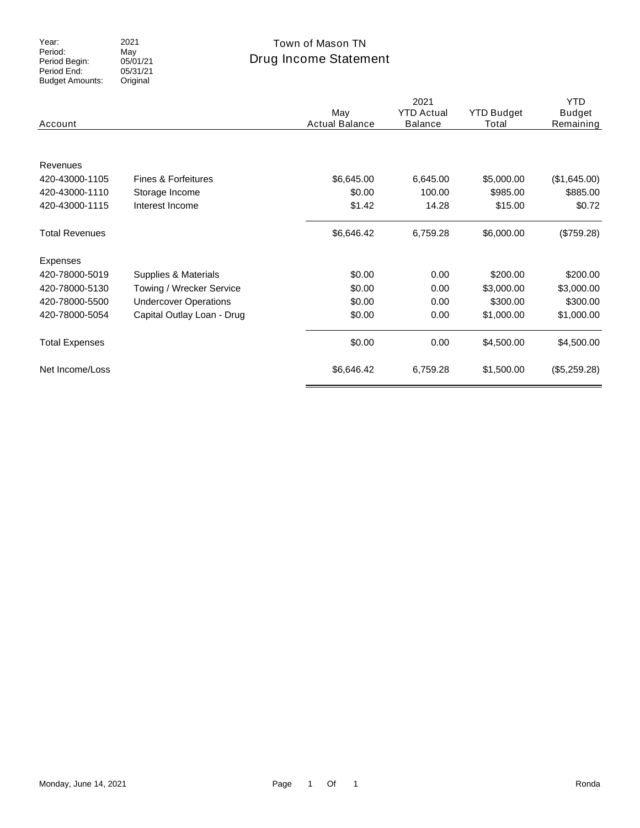Year:<br>Period: Period Begin: Period End: Budget Amounts: 2021 May 05/01/21 05/31/21 Original

### Drug Income Statement Town of Mason TN

| Account                    |                              | May<br><b>Actual Balance</b> | 2021<br><b>YTD Actual</b><br><b>Balance</b> | <b>YTD Budget</b><br>Total | <b>YTD</b><br><b>Budget</b><br>Remaining |
|----------------------------|------------------------------|------------------------------|---------------------------------------------|----------------------------|------------------------------------------|
| Revenues<br>420-43000-1105 | Fines & Forfeitures          |                              |                                             |                            |                                          |
| 420-43000-1110             | Storage Income               | \$6,645.00<br>\$0.00         | 6,645.00<br>100.00                          | \$5,000.00<br>\$985.00     | (\$1,645.00)<br>\$885.00                 |
| 420-43000-1115             | Interest Income              | \$1.42                       | 14.28                                       | \$15.00                    | \$0.72                                   |
| <b>Total Revenues</b>      |                              | \$6,646.42                   | 6,759.28                                    | \$6,000.00                 | (\$759.28)                               |
| Expenses                   |                              |                              |                                             |                            |                                          |
| 420-78000-5019             | Supplies & Materials         | \$0.00                       | 0.00                                        | \$200.00                   | \$200.00                                 |
| 420-78000-5130             | Towing / Wrecker Service     | \$0.00                       | 0.00                                        | \$3,000.00                 | \$3,000.00                               |
| 420-78000-5500             | <b>Undercover Operations</b> | \$0.00                       | 0.00                                        | \$300.00                   | \$300.00                                 |
| 420-78000-5054             | Capital Outlay Loan - Drug   | \$0.00                       | 0.00                                        | \$1,000.00                 | \$1,000.00                               |
| <b>Total Expenses</b>      |                              | \$0.00                       | 0.00                                        | \$4,500.00                 | \$4,500.00                               |
| Net Income/Loss            |                              | \$6,646.42                   | 6,759.28                                    | \$1,500.00                 | (\$5,259.28)                             |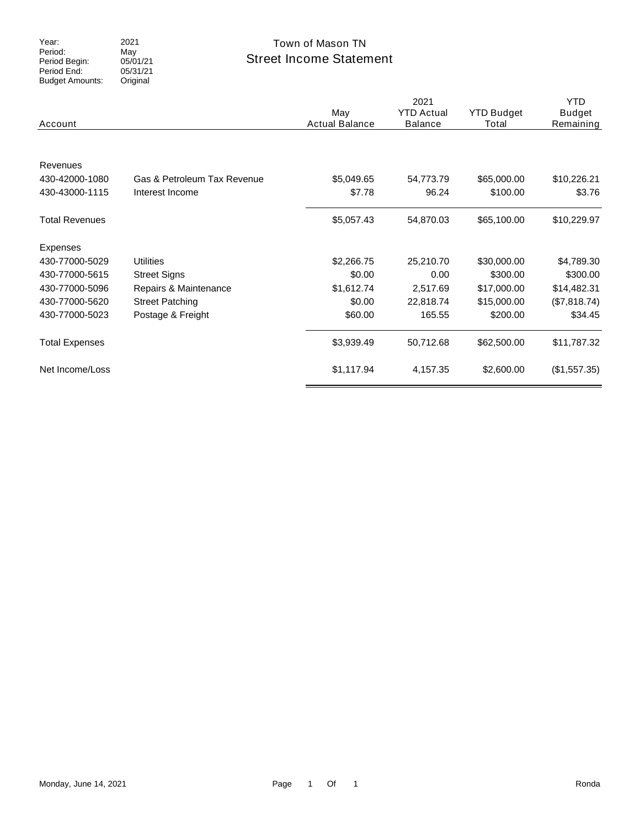Period: Period Begin: Period End: Budget Amounts: 2021 May 05/01/21 05/31/21 Original

### Street Income Statement Year: 2021 2021 Town of Mason TN

| Account                                      |                                                | May<br><b>Actual Balance</b> | 2021<br><b>YTD Actual</b><br><b>Balance</b> | <b>YTD Budget</b><br>Total | <b>YTD</b><br><b>Budget</b><br>Remaining |
|----------------------------------------------|------------------------------------------------|------------------------------|---------------------------------------------|----------------------------|------------------------------------------|
| Revenues<br>430-42000-1080<br>430-43000-1115 | Gas & Petroleum Tax Revenue<br>Interest Income | \$5,049.65<br>\$7.78         | 54,773.79<br>96.24                          | \$65,000.00<br>\$100.00    | \$10,226.21<br>\$3.76                    |
| <b>Total Revenues</b>                        |                                                | \$5,057.43                   | 54,870.03                                   | \$65,100.00                | \$10,229.97                              |
| Expenses                                     |                                                |                              |                                             |                            |                                          |
| 430-77000-5029                               | <b>Utilities</b>                               | \$2,266.75                   | 25,210.70                                   | \$30,000.00                | \$4,789.30                               |
| 430-77000-5615                               | <b>Street Signs</b>                            | \$0.00                       | 0.00                                        | \$300.00                   | \$300.00                                 |
| 430-77000-5096                               | Repairs & Maintenance                          | \$1,612.74                   | 2,517.69                                    | \$17,000.00                | \$14,482.31                              |
| 430-77000-5620                               | <b>Street Patching</b>                         | \$0.00                       | 22,818.74                                   | \$15,000.00                | (\$7,818.74)                             |
| 430-77000-5023                               | Postage & Freight                              | \$60.00                      | 165.55                                      | \$200.00                   | \$34.45                                  |
| <b>Total Expenses</b>                        |                                                | \$3,939.49                   | 50,712.68                                   | \$62,500.00                | \$11,787.32                              |
| Net Income/Loss                              |                                                | \$1,117.94                   | 4,157.35                                    | \$2,600.00                 | (\$1,557.35)                             |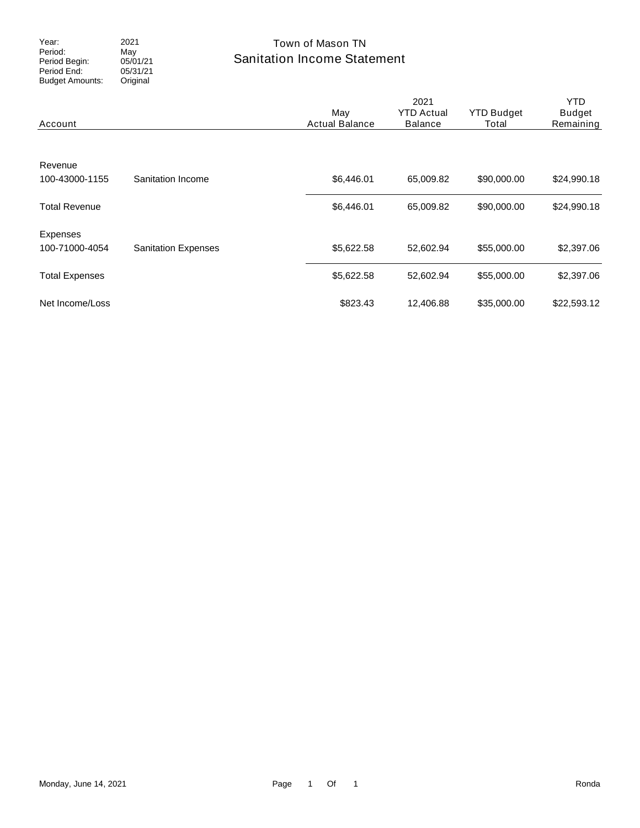Period: Period Begin: Period End: Budget Amounts: 2021 May 05/01/21  $05/31/21$ Original

### Sanitation Income Statement Year: 2021 2021 Town of Mason TN

| Account                    |                            | May<br><b>Actual Balance</b> | 2021<br><b>YTD Actual</b><br><b>Balance</b> | <b>YTD Budget</b><br>Total | YTD.<br><b>Budget</b><br>Remaining |
|----------------------------|----------------------------|------------------------------|---------------------------------------------|----------------------------|------------------------------------|
| Revenue<br>100-43000-1155  | Sanitation Income          | \$6,446.01                   | 65,009.82                                   | \$90,000.00                | \$24,990.18                        |
| <b>Total Revenue</b>       |                            | \$6,446.01                   | 65,009.82                                   | \$90,000.00                | \$24,990.18                        |
| Expenses<br>100-71000-4054 | <b>Sanitation Expenses</b> | \$5,622.58                   | 52,602.94                                   | \$55,000.00                | \$2,397.06                         |
| <b>Total Expenses</b>      |                            | \$5,622.58                   | 52,602.94                                   | \$55,000.00                | \$2,397.06                         |
| Net Income/Loss            |                            | \$823.43                     | 12,406.88                                   | \$35,000.00                | \$22,593.12                        |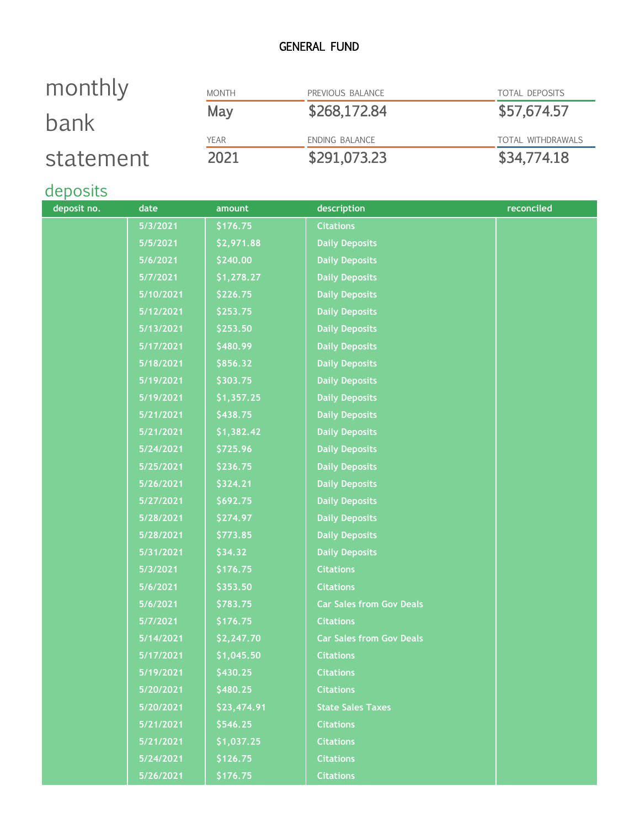### GENERAL FUND

| monthly   | <b>MONTH</b> | PREVIOUS BALANCE | <b>TOTAL DEPOSITS</b>    |
|-----------|--------------|------------------|--------------------------|
| bank      | May          | \$268,172.84     | \$57,674.57              |
|           | <b>YEAR</b>  | ENDING BALANCE   | <b>TOTAL WITHDRAWALS</b> |
| statement | 2021         | \$291,073.23     | \$34,774.18              |

# deposits

| deposit no. | date      | amount      | description                     | reconciled |
|-------------|-----------|-------------|---------------------------------|------------|
|             | 5/3/2021  | \$176.75    | <b>Citations</b>                |            |
|             | 5/5/2021  | \$2,971.88  | <b>Daily Deposits</b>           |            |
|             | 5/6/2021  | \$240.00    | <b>Daily Deposits</b>           |            |
|             | 5/7/2021  | \$1,278.27  | <b>Daily Deposits</b>           |            |
|             | 5/10/2021 | \$226.75    | <b>Daily Deposits</b>           |            |
|             | 5/12/2021 | \$253.75    | <b>Daily Deposits</b>           |            |
|             | 5/13/2021 | \$253.50    | <b>Daily Deposits</b>           |            |
|             | 5/17/2021 | \$480.99    | <b>Daily Deposits</b>           |            |
|             | 5/18/2021 | \$856.32    | <b>Daily Deposits</b>           |            |
|             | 5/19/2021 | \$303.75    | <b>Daily Deposits</b>           |            |
|             | 5/19/2021 | \$1,357.25  | <b>Daily Deposits</b>           |            |
|             | 5/21/2021 | \$438.75    | <b>Daily Deposits</b>           |            |
|             | 5/21/2021 | \$1,382.42  | <b>Daily Deposits</b>           |            |
|             | 5/24/2021 | \$725.96    | <b>Daily Deposits</b>           |            |
|             | 5/25/2021 | \$236.75    | <b>Daily Deposits</b>           |            |
|             | 5/26/2021 | \$324.21    | <b>Daily Deposits</b>           |            |
|             | 5/27/2021 | \$692.75    | <b>Daily Deposits</b>           |            |
|             | 5/28/2021 | \$274.97    | <b>Daily Deposits</b>           |            |
|             | 5/28/2021 | \$773.85    | <b>Daily Deposits</b>           |            |
|             | 5/31/2021 | \$34.32     | <b>Daily Deposits</b>           |            |
|             | 5/3/2021  | \$176.75    | <b>Citations</b>                |            |
|             | 5/6/2021  | \$353.50    | <b>Citations</b>                |            |
|             | 5/6/2021  | \$783.75    | <b>Car Sales from Gov Deals</b> |            |
|             | 5/7/2021  | \$176.75    | <b>Citations</b>                |            |
|             | 5/14/2021 | \$2,247.70  | <b>Car Sales from Gov Deals</b> |            |
|             | 5/17/2021 | \$1,045.50  | <b>Citations</b>                |            |
|             | 5/19/2021 | \$430.25    | <b>Citations</b>                |            |
|             | 5/20/2021 | \$480.25    | <b>Citations</b>                |            |
|             | 5/20/2021 | \$23,474.91 | <b>State Sales Taxes</b>        |            |
|             | 5/21/2021 | \$546.25    | <b>Citations</b>                |            |
|             | 5/21/2021 | \$1,037.25  | <b>Citations</b>                |            |
|             | 5/24/2021 | \$126.75    | <b>Citations</b>                |            |
|             | 5/26/2021 | \$176.75    | <b>Citations</b>                |            |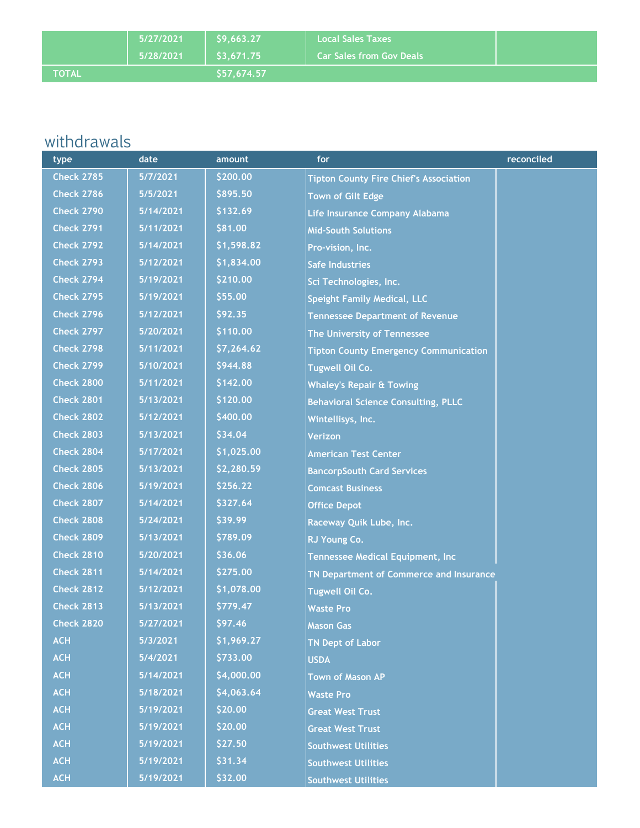|              | 5/27/2021 | 59.663.27                | <b>Local Sales Taxes</b>        |  |
|--------------|-----------|--------------------------|---------------------------------|--|
|              | 5/28/2021 | $\frac{1}{2}$ \$3,671.75 | <b>Car Sales from Gov Deals</b> |  |
| <b>NOTAL</b> |           | \$57.674.57              |                                 |  |

# withdrawals

| type              | date      | amount     | for                                           | reconciled |
|-------------------|-----------|------------|-----------------------------------------------|------------|
| <b>Check 2785</b> | 5/7/2021  | \$200.00   | <b>Tipton County Fire Chief's Association</b> |            |
| <b>Check 2786</b> | 5/5/2021  | \$895.50   | <b>Town of Gilt Edge</b>                      |            |
| <b>Check 2790</b> | 5/14/2021 | \$132.69   | Life Insurance Company Alabama                |            |
| <b>Check 2791</b> | 5/11/2021 | \$81.00    | <b>Mid-South Solutions</b>                    |            |
| <b>Check 2792</b> | 5/14/2021 | \$1,598.82 | Pro-vision, Inc.                              |            |
| <b>Check 2793</b> | 5/12/2021 | \$1,834.00 | <b>Safe Industries</b>                        |            |
| <b>Check 2794</b> | 5/19/2021 | \$210.00   | Sci Technologies, Inc.                        |            |
| <b>Check 2795</b> | 5/19/2021 | \$55.00    | <b>Speight Family Medical, LLC</b>            |            |
| <b>Check 2796</b> | 5/12/2021 | \$92.35    | <b>Tennessee Department of Revenue</b>        |            |
| <b>Check 2797</b> | 5/20/2021 | \$110.00   | The University of Tennessee                   |            |
| <b>Check 2798</b> | 5/11/2021 | \$7,264.62 | <b>Tipton County Emergency Communication</b>  |            |
| <b>Check 2799</b> | 5/10/2021 | \$944.88   | <b>Tugwell Oil Co.</b>                        |            |
| <b>Check 2800</b> | 5/11/2021 | \$142.00   | <b>Whaley's Repair &amp; Towing</b>           |            |
| <b>Check 2801</b> | 5/13/2021 | \$120.00   | <b>Behavioral Science Consulting, PLLC</b>    |            |
| <b>Check 2802</b> | 5/12/2021 | \$400.00   | Wintellisys, Inc.                             |            |
| <b>Check 2803</b> | 5/13/2021 | \$34.04    | Verizon                                       |            |
| <b>Check 2804</b> | 5/17/2021 | \$1,025.00 | <b>American Test Center</b>                   |            |
| <b>Check 2805</b> | 5/13/2021 | \$2,280.59 | <b>BancorpSouth Card Services</b>             |            |
| <b>Check 2806</b> | 5/19/2021 | \$256.22   | <b>Comcast Business</b>                       |            |
| <b>Check 2807</b> | 5/14/2021 | \$327.64   | <b>Office Depot</b>                           |            |
| <b>Check 2808</b> | 5/24/2021 | \$39.99    | Raceway Quik Lube, Inc.                       |            |
| <b>Check 2809</b> | 5/13/2021 | \$789.09   | RJ Young Co.                                  |            |
| <b>Check 2810</b> | 5/20/2021 | \$36.06    | Tennessee Medical Equipment, Inc              |            |
| <b>Check 2811</b> | 5/14/2021 | \$275.00   | TN Department of Commerce and Insurance       |            |
| <b>Check 2812</b> | 5/12/2021 | \$1,078.00 | <b>Tugwell Oil Co.</b>                        |            |
| <b>Check 2813</b> | 5/13/2021 | \$779.47   | <b>Waste Pro</b>                              |            |
| <b>Check 2820</b> | 5/27/2021 | \$97.46    | <b>Mason Gas</b>                              |            |
| <b>ACH</b>        | 5/3/2021  | \$1,969.27 | <b>TN Dept of Labor</b>                       |            |
| <b>ACH</b>        | 5/4/2021  | \$733.00   | <b>USDA</b>                                   |            |
| <b>ACH</b>        | 5/14/2021 | \$4,000.00 | <b>Town of Mason AP</b>                       |            |
| <b>ACH</b>        | 5/18/2021 | \$4,063.64 | Waste Pro                                     |            |
| <b>ACH</b>        | 5/19/2021 | \$20.00    | <b>Great West Trust</b>                       |            |
| <b>ACH</b>        | 5/19/2021 | \$20.00    | <b>Great West Trust</b>                       |            |
| <b>ACH</b>        | 5/19/2021 | \$27.50    | <b>Southwest Utilities</b>                    |            |
| <b>ACH</b>        | 5/19/2021 | \$31.34    | <b>Southwest Utilities</b>                    |            |
| <b>ACH</b>        | 5/19/2021 | \$32.00    | <b>Southwest Utilities</b>                    |            |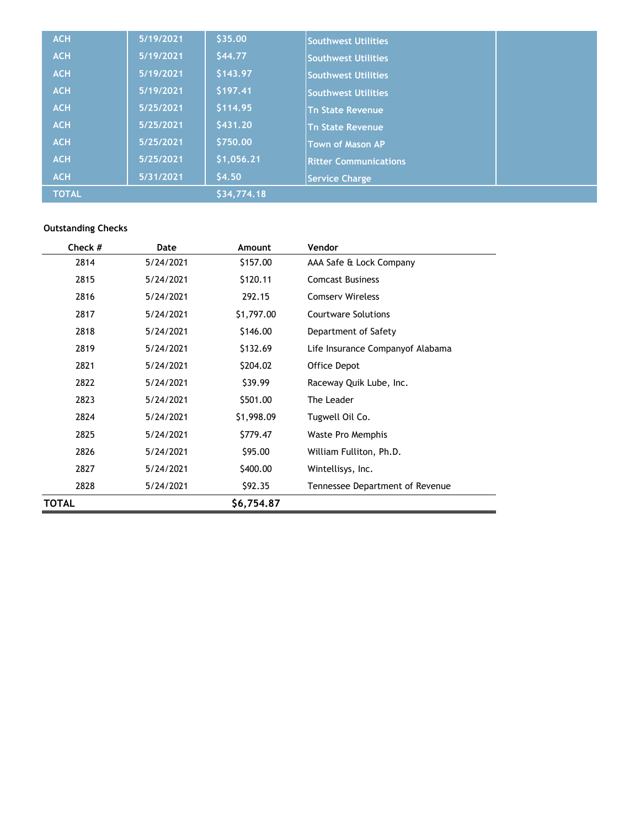| <b>ACH</b>   | 5/19/2021 | \$35.00     | Southwest Utilities          |  |
|--------------|-----------|-------------|------------------------------|--|
| <b>ACH</b>   | 5/19/2021 | \$44.77     | Southwest Utilities          |  |
| <b>ACH</b>   | 5/19/2021 | \$143.97    | <b>Southwest Utilities</b>   |  |
| <b>ACH</b>   | 5/19/2021 | \$197.41    | <b>Southwest Utilities</b>   |  |
| <b>ACH</b>   | 5/25/2021 | \$114.95    | <b>Tn State Revenue</b>      |  |
| <b>ACH</b>   | 5/25/2021 | \$431.20    | <b>Tn State Revenue</b>      |  |
| <b>ACH</b>   | 5/25/2021 | \$750.00    | <b>Town of Mason AP</b>      |  |
| <b>ACH</b>   | 5/25/2021 | \$1,056.21  | <b>Ritter Communications</b> |  |
| <b>ACH</b>   | 5/31/2021 | \$4.50      | <b>Service Charge</b>        |  |
| <b>TOTAL</b> |           | \$34,774.18 |                              |  |

### **Outstanding Checks**

| Check # | Date      | Amount     | Vendor                           |
|---------|-----------|------------|----------------------------------|
| 2814    | 5/24/2021 | \$157.00   | AAA Safe & Lock Company          |
| 2815    | 5/24/2021 | \$120.11   | <b>Comcast Business</b>          |
| 2816    | 5/24/2021 | 292.15     | <b>Comserv Wireless</b>          |
| 2817    | 5/24/2021 | \$1,797.00 | <b>Courtware Solutions</b>       |
| 2818    | 5/24/2021 | \$146.00   | Department of Safety             |
| 2819    | 5/24/2021 | \$132.69   | Life Insurance Companyof Alabama |
| 2821    | 5/24/2021 | \$204.02   | Office Depot                     |
| 2822    | 5/24/2021 | \$39.99    | Raceway Quik Lube, Inc.          |
| 2823    | 5/24/2021 | \$501.00   | The Leader                       |
| 2824    | 5/24/2021 | \$1,998.09 | Tugwell Oil Co.                  |
| 2825    | 5/24/2021 | \$779.47   | Waste Pro Memphis                |
| 2826    | 5/24/2021 | \$95.00    | William Fulliton, Ph.D.          |
| 2827    | 5/24/2021 | \$400.00   | Wintellisys, Inc.                |
| 2828    | 5/24/2021 | \$92.35    | Tennessee Department of Revenue  |
| TOTAL   |           | \$6,754.87 |                                  |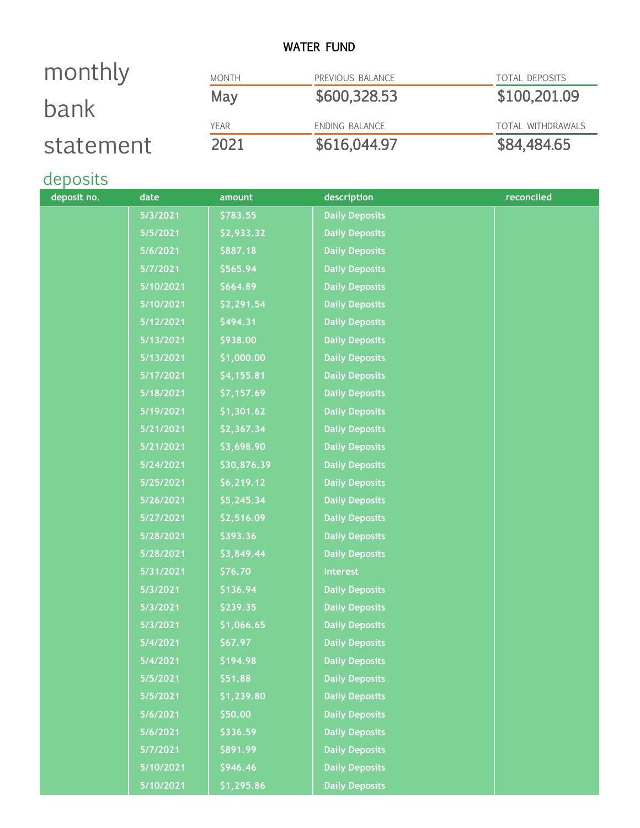### WATER FUND

### MONTH PREVIOUS BALANCE TOTAL DEPOSITS May \$600,328.53 \$100,201.09 YEAR ENDING BALANCE TOTAL WITHDRAWALS 2021 \$616,044.97 \$84,484.65 monthly bank statement

# deposits

| deposit no. | date      | amount      | description           | reconciled |
|-------------|-----------|-------------|-----------------------|------------|
|             | 5/3/2021  | \$783.55    | <b>Daily Deposits</b> |            |
|             | 5/5/2021  | \$2,933.32  | <b>Daily Deposits</b> |            |
|             | 5/6/2021  | \$887.18    | <b>Daily Deposits</b> |            |
|             | 5/7/2021  | \$565.94    | <b>Daily Deposits</b> |            |
|             | 5/10/2021 | \$664.89    | <b>Daily Deposits</b> |            |
|             | 5/10/2021 | \$2,291.54  | <b>Daily Deposits</b> |            |
|             | 5/12/2021 | \$494.31    | <b>Daily Deposits</b> |            |
|             | 5/13/2021 | \$938.00    | <b>Daily Deposits</b> |            |
|             | 5/13/2021 | \$1,000.00  | <b>Daily Deposits</b> |            |
|             | 5/17/2021 | \$4,155.81  | <b>Daily Deposits</b> |            |
|             | 5/18/2021 | \$7,157.69  | <b>Daily Deposits</b> |            |
|             | 5/19/2021 | \$1,301.62  | <b>Daily Deposits</b> |            |
|             | 5/21/2021 | \$2,367.34  | <b>Daily Deposits</b> |            |
|             | 5/21/2021 | \$3,698.90  | <b>Daily Deposits</b> |            |
|             | 5/24/2021 | \$30,876.39 | <b>Daily Deposits</b> |            |
|             | 5/25/2021 | \$6,219.12  | <b>Daily Deposits</b> |            |
|             | 5/26/2021 | \$5,245.34  | <b>Daily Deposits</b> |            |
|             | 5/27/2021 | \$2,516.09  | <b>Daily Deposits</b> |            |
|             | 5/28/2021 | \$393.36    | <b>Daily Deposits</b> |            |
|             | 5/28/2021 | \$3,849.44  | <b>Daily Deposits</b> |            |
|             | 5/31/2021 | \$76.70     | <b>Interest</b>       |            |
|             | 5/3/2021  | \$136.94    | <b>Daily Deposits</b> |            |
|             | 5/3/2021  | \$239.35    | <b>Daily Deposits</b> |            |
|             | 5/3/2021  | \$1,066.65  | <b>Daily Deposits</b> |            |
|             | 5/4/2021  | \$67.97     | <b>Daily Deposits</b> |            |
|             | 5/4/2021  | \$194.98    | <b>Daily Deposits</b> |            |
|             | 5/5/2021  | \$51.88     | <b>Daily Deposits</b> |            |
|             | 5/5/2021  | \$1,239.80  | <b>Daily Deposits</b> |            |
|             | 5/6/2021  | \$50.00     | <b>Daily Deposits</b> |            |
|             | 5/6/2021  | \$336.59    | <b>Daily Deposits</b> |            |
|             | 5/7/2021  | \$891.99    | <b>Daily Deposits</b> |            |
|             | 5/10/2021 | \$946.46    | <b>Daily Deposits</b> |            |
|             | 5/10/2021 | \$1,295.86  | <b>Daily Deposits</b> |            |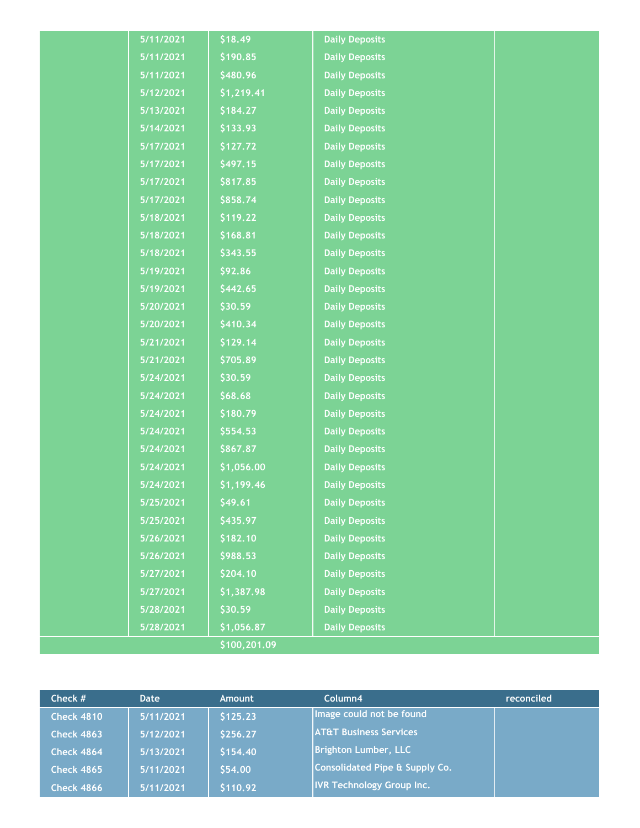| 5/11/2021 | \$18.49      | <b>Daily Deposits</b> |  |
|-----------|--------------|-----------------------|--|
| 5/11/2021 | \$190.85     | <b>Daily Deposits</b> |  |
| 5/11/2021 | \$480.96     | <b>Daily Deposits</b> |  |
| 5/12/2021 | \$1,219.41   | <b>Daily Deposits</b> |  |
| 5/13/2021 | \$184.27     | <b>Daily Deposits</b> |  |
| 5/14/2021 | \$133.93     | <b>Daily Deposits</b> |  |
| 5/17/2021 | \$127.72     | <b>Daily Deposits</b> |  |
| 5/17/2021 | \$497.15     | <b>Daily Deposits</b> |  |
| 5/17/2021 | \$817.85     | <b>Daily Deposits</b> |  |
| 5/17/2021 | \$858.74     | <b>Daily Deposits</b> |  |
| 5/18/2021 | \$119.22     | <b>Daily Deposits</b> |  |
| 5/18/2021 | \$168.81     | <b>Daily Deposits</b> |  |
| 5/18/2021 | \$343.55     | <b>Daily Deposits</b> |  |
| 5/19/2021 | \$92.86      | <b>Daily Deposits</b> |  |
| 5/19/2021 | \$442.65     | <b>Daily Deposits</b> |  |
| 5/20/2021 | \$30.59      | <b>Daily Deposits</b> |  |
| 5/20/2021 | \$410.34     | <b>Daily Deposits</b> |  |
| 5/21/2021 | \$129.14     | <b>Daily Deposits</b> |  |
| 5/21/2021 | \$705.89     | <b>Daily Deposits</b> |  |
| 5/24/2021 | \$30.59      | <b>Daily Deposits</b> |  |
| 5/24/2021 | \$68.68      | <b>Daily Deposits</b> |  |
| 5/24/2021 | \$180.79     | <b>Daily Deposits</b> |  |
| 5/24/2021 | \$554.53     | <b>Daily Deposits</b> |  |
| 5/24/2021 | \$867.87     | <b>Daily Deposits</b> |  |
| 5/24/2021 | \$1,056.00   | <b>Daily Deposits</b> |  |
| 5/24/2021 | \$1,199.46   | <b>Daily Deposits</b> |  |
| 5/25/2021 | \$49.61      | <b>Daily Deposits</b> |  |
| 5/25/2021 | \$435.97     | <b>Daily Deposits</b> |  |
| 5/26/2021 | \$182.10     | <b>Daily Deposits</b> |  |
| 5/26/2021 | \$988.53     | <b>Daily Deposits</b> |  |
| 5/27/2021 | \$204.10     | <b>Daily Deposits</b> |  |
| 5/27/2021 | \$1,387.98   | <b>Daily Deposits</b> |  |
| 5/28/2021 | \$30.59      | <b>Daily Deposits</b> |  |
| 5/28/2021 | \$1,056.87   | <b>Daily Deposits</b> |  |
|           | \$100,201.09 |                       |  |

| Check $#$         | <b>Date</b> | <b>Amount</b> | Column4                           | reconciled |
|-------------------|-------------|---------------|-----------------------------------|------------|
| <b>Check 4810</b> | 5/11/2021   | \$125.23      | Image could not be found          |            |
| <b>Check 4863</b> | 5/12/2021   | \$256.27      | <b>AT&amp;T Business Services</b> |            |
| <b>Check 4864</b> | 5/13/2021   | \$154.40      | <b>Brighton Lumber, LLC</b>       |            |
| <b>Check 4865</b> | 5/11/2021   | \$54.00       | Consolidated Pipe & Supply Co.    |            |
| <b>Check 4866</b> | 5/11/2021   | \$110.92      | <b>IVR Technology Group Inc.</b>  |            |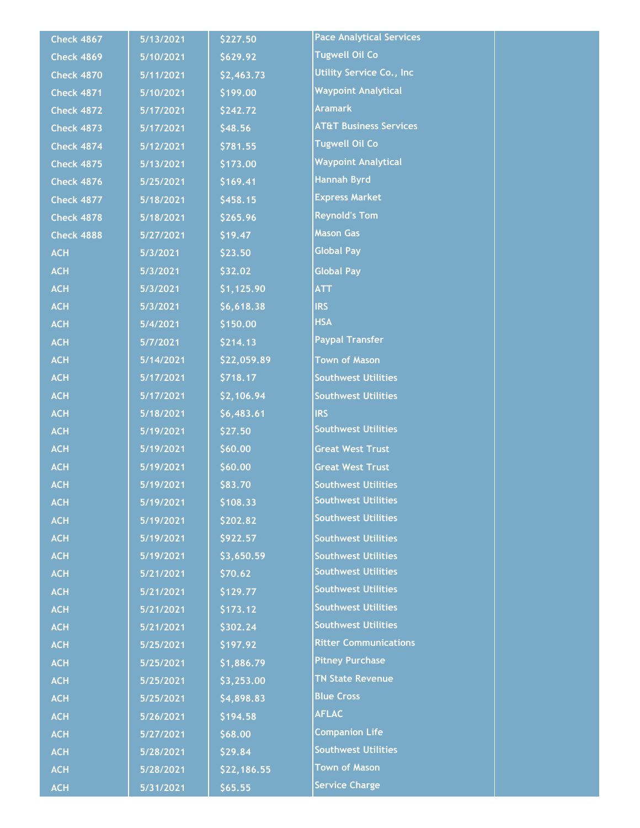| <b>Check 4867</b> | 5/13/2021 | \$227.50    | <b>Pace Analytical Services</b>   |  |
|-------------------|-----------|-------------|-----------------------------------|--|
| <b>Check 4869</b> | 5/10/2021 | \$629.92    | <b>Tugwell Oil Co</b>             |  |
| <b>Check 4870</b> | 5/11/2021 | \$2,463.73  | <b>Utility Service Co., Inc</b>   |  |
| <b>Check 4871</b> | 5/10/2021 | \$199.00    | <b>Waypoint Analytical</b>        |  |
| <b>Check 4872</b> | 5/17/2021 | \$242.72    | <b>Aramark</b>                    |  |
| <b>Check 4873</b> | 5/17/2021 | \$48.56     | <b>AT&amp;T Business Services</b> |  |
| <b>Check 4874</b> | 5/12/2021 | \$781.55    | <b>Tugwell Oil Co</b>             |  |
| <b>Check 4875</b> | 5/13/2021 | \$173.00    | <b>Waypoint Analytical</b>        |  |
| <b>Check 4876</b> | 5/25/2021 | \$169.41    | <b>Hannah Byrd</b>                |  |
| <b>Check 4877</b> | 5/18/2021 | \$458.15    | <b>Express Market</b>             |  |
| <b>Check 4878</b> | 5/18/2021 | \$265.96    | <b>Reynold's Tom</b>              |  |
| <b>Check 4888</b> | 5/27/2021 | \$19.47     | <b>Mason Gas</b>                  |  |
| <b>ACH</b>        | 5/3/2021  | \$23.50     | <b>Global Pay</b>                 |  |
| <b>ACH</b>        | 5/3/2021  | \$32.02     | <b>Global Pay</b>                 |  |
| <b>ACH</b>        | 5/3/2021  | \$1,125.90  | <b>ATT</b>                        |  |
| <b>ACH</b>        | 5/3/2021  | \$6,618.38  | <b>IRS</b>                        |  |
| <b>ACH</b>        | 5/4/2021  | \$150.00    | <b>HSA</b>                        |  |
| <b>ACH</b>        | 5/7/2021  | \$214.13    | <b>Paypal Transfer</b>            |  |
| <b>ACH</b>        | 5/14/2021 | \$22,059.89 | <b>Town of Mason</b>              |  |
| <b>ACH</b>        | 5/17/2021 | \$718.17    | <b>Southwest Utilities</b>        |  |
| <b>ACH</b>        | 5/17/2021 | \$2,106.94  | <b>Southwest Utilities</b>        |  |
| <b>ACH</b>        | 5/18/2021 | \$6,483.61  | <b>IRS</b>                        |  |
| <b>ACH</b>        | 5/19/2021 | \$27.50     | <b>Southwest Utilities</b>        |  |
| <b>ACH</b>        | 5/19/2021 | \$60.00     | <b>Great West Trust</b>           |  |
| <b>ACH</b>        | 5/19/2021 | \$60.00     | <b>Great West Trust</b>           |  |
| <b>ACH</b>        | 5/19/2021 | \$83.70     | <b>Southwest Utilities</b>        |  |
| <b>ACH</b>        | 5/19/2021 | \$108.33    | <b>Southwest Utilities</b>        |  |
| <b>ACH</b>        | 5/19/2021 | \$202.82    | <b>Southwest Utilities</b>        |  |
| <b>ACH</b>        | 5/19/2021 | \$922.57    | <b>Southwest Utilities</b>        |  |
| <b>ACH</b>        | 5/19/2021 | \$3,650.59  | <b>Southwest Utilities</b>        |  |
| <b>ACH</b>        | 5/21/2021 | \$70.62     | <b>Southwest Utilities</b>        |  |
| <b>ACH</b>        | 5/21/2021 | \$129.77    | <b>Southwest Utilities</b>        |  |
| <b>ACH</b>        | 5/21/2021 | \$173.12    | <b>Southwest Utilities</b>        |  |
| <b>ACH</b>        | 5/21/2021 | \$302.24    | <b>Southwest Utilities</b>        |  |
| <b>ACH</b>        | 5/25/2021 | \$197.92    | <b>Ritter Communications</b>      |  |
| <b>ACH</b>        | 5/25/2021 | \$1,886.79  | <b>Pitney Purchase</b>            |  |
| <b>ACH</b>        | 5/25/2021 | \$3,253.00  | <b>TN State Revenue</b>           |  |
| <b>ACH</b>        | 5/25/2021 | \$4,898.83  | <b>Blue Cross</b>                 |  |
| <b>ACH</b>        | 5/26/2021 | \$194.58    | <b>AFLAC</b>                      |  |
| <b>ACH</b>        | 5/27/2021 | \$68.00     | <b>Companion Life</b>             |  |
| <b>ACH</b>        | 5/28/2021 | \$29.84     | <b>Southwest Utilities</b>        |  |
| <b>ACH</b>        | 5/28/2021 | \$22,186.55 | <b>Town of Mason</b>              |  |
| <b>ACH</b>        | 5/31/2021 | \$65.55     | <b>Service Charge</b>             |  |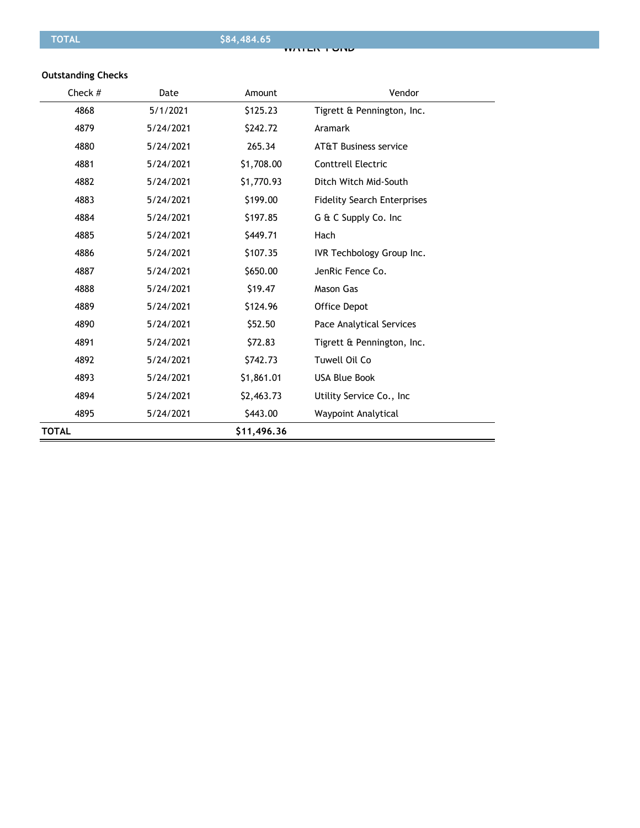#### **Outstanding Checks**

| Check #      | Date      | Amount      | Vendor                             |
|--------------|-----------|-------------|------------------------------------|
| 4868         | 5/1/2021  | \$125.23    | Tigrett & Pennington, Inc.         |
| 4879         | 5/24/2021 | \$242.72    | Aramark                            |
| 4880         | 5/24/2021 | 265.34      | <b>AT&amp;T Business service</b>   |
| 4881         | 5/24/2021 | \$1,708.00  | <b>Conttrell Electric</b>          |
| 4882         | 5/24/2021 | \$1,770.93  | Ditch Witch Mid-South              |
| 4883         | 5/24/2021 | \$199.00    | <b>Fidelity Search Enterprises</b> |
| 4884         | 5/24/2021 | \$197.85    | G & C Supply Co. Inc.              |
| 4885         | 5/24/2021 | \$449.71    | Hach                               |
| 4886         | 5/24/2021 | \$107.35    | IVR Techbology Group Inc.          |
| 4887         | 5/24/2021 | \$650.00    | JenRic Fence Co.                   |
| 4888         | 5/24/2021 | \$19.47     | <b>Mason Gas</b>                   |
| 4889         | 5/24/2021 | \$124.96    | Office Depot                       |
| 4890         | 5/24/2021 | \$52.50     | Pace Analytical Services           |
| 4891         | 5/24/2021 | \$72.83     | Tigrett & Pennington, Inc.         |
| 4892         | 5/24/2021 | \$742.73    | Tuwell Oil Co                      |
| 4893         | 5/24/2021 | \$1,861.01  | <b>USA Blue Book</b>               |
| 4894         | 5/24/2021 | \$2,463.73  | Utility Service Co., Inc.          |
| 4895         | 5/24/2021 | \$443.00    | Waypoint Analytical                |
| <b>TOTAL</b> |           | \$11,496.36 |                                    |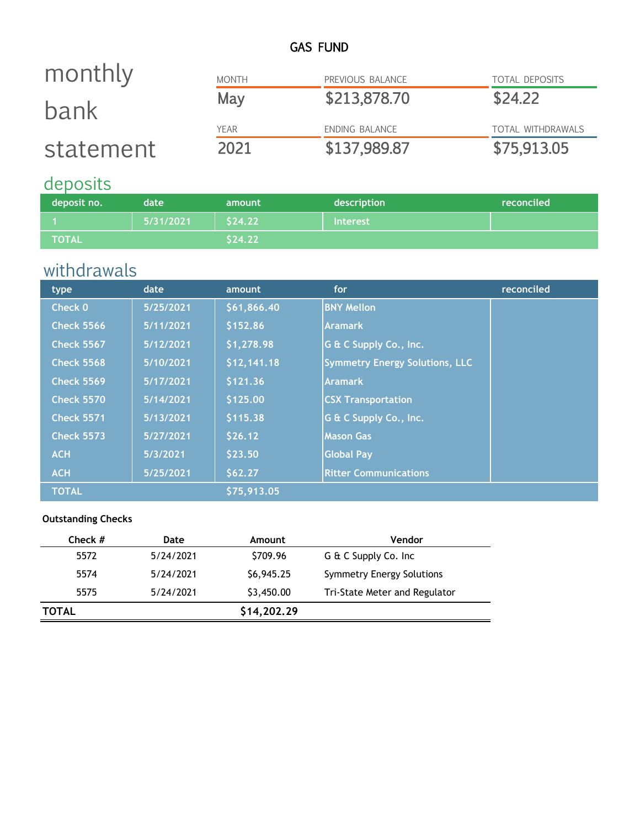## GAS FUND

| monthly   | <b>MONTH</b> | PREVIOUS BALANCE | <b>TOTAL DEPOSITS</b>    |
|-----------|--------------|------------------|--------------------------|
| bank      | May          | \$213,878.70     | \$24.22                  |
|           | <b>YEAR</b>  | ENDING BALANCE   | <b>TOTAL WITHDRAWALS</b> |
| statement | 2021         | \$137,989.87     | \$75,913.05              |

# deposits

| deposit no.    | date.     | amount  | description     | reconciled |
|----------------|-----------|---------|-----------------|------------|
|                | 5/31/2021 | \$24.22 | <b>Interest</b> |            |
| <b>\TOTAL\</b> |           | \$24.22 |                 |            |

# withdrawals

| type              | date      | amount      | for                                   | reconciled |
|-------------------|-----------|-------------|---------------------------------------|------------|
| Check 0           | 5/25/2021 | \$61,866.40 | <b>BNY Mellon</b>                     |            |
| <b>Check 5566</b> | 5/11/2021 | \$152.86    | <b>Aramark</b>                        |            |
| <b>Check 5567</b> | 5/12/2021 | \$1,278.98  | G & C Supply Co., Inc.                |            |
| <b>Check 5568</b> | 5/10/2021 | \$12,141.18 | <b>Symmetry Energy Solutions, LLC</b> |            |
| <b>Check 5569</b> | 5/17/2021 | \$121.36    | <b>Aramark</b>                        |            |
| <b>Check 5570</b> | 5/14/2021 | \$125.00    | <b>CSX Transportation</b>             |            |
| <b>Check 5571</b> | 5/13/2021 | \$115.38    | G & C Supply Co., Inc.                |            |
| <b>Check 5573</b> | 5/27/2021 | \$26.12     | <b>Mason Gas</b>                      |            |
| <b>ACH</b>        | 5/3/2021  | \$23.50     | <b>Global Pay</b>                     |            |
| <b>ACH</b>        | 5/25/2021 | \$62.27     | <b>Ritter Communications</b>          |            |
| <b>TOTAL</b>      |           | \$75,913.05 |                                       |            |

### **Outstanding Checks**

| Date      | Amount      | Vendor                        |
|-----------|-------------|-------------------------------|
| 5/24/2021 | \$709.96    | G & C Supply Co. Inc          |
| 5/24/2021 | \$6,945.25  | Symmetry Energy Solutions     |
| 5/24/2021 | \$3,450.00  | Tri-State Meter and Regulator |
|           | \$14,202.29 |                               |
|           |             |                               |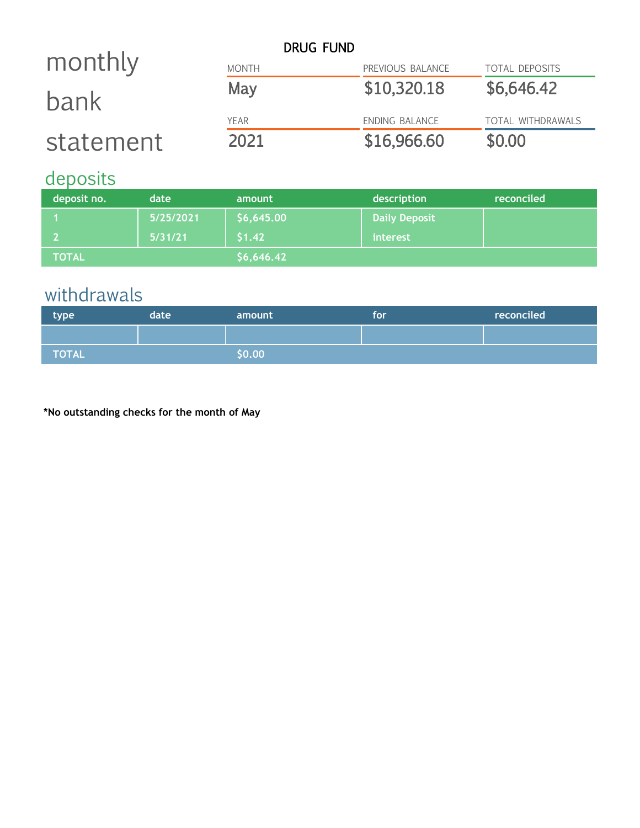|           |              | <b>DRUG FUND</b> |                       |
|-----------|--------------|------------------|-----------------------|
| monthly   | <b>MONTH</b> | PREVIOUS BALANCE | <b>TOTAL DEPOSITS</b> |
| bank      | May          | \$10,320.18      | \$6,646.42            |
|           | <b>YEAR</b>  | ENDING BALANCE   | TOTAL WITHDRAWALS     |
| statement | 2021         | \$16,966.60      | \$0.00                |

# deposits

| deposit no.  | date      | amount     | description          | reconciled |
|--------------|-----------|------------|----------------------|------------|
|              | 5/25/2021 | \$6,645.00 | <b>Daily Deposit</b> |            |
|              | 5/31/21   | \$1.42     | interest             |            |
| <b>TOTAL</b> |           | \$6,646.42 |                      |            |

# withdrawals

| type  | date | amount | <b>TOP</b> | reconciled |
|-------|------|--------|------------|------------|
|       |      |        |            |            |
| TOTAL |      | \$0.00 |            |            |

**\*No outstanding checks for the month of May**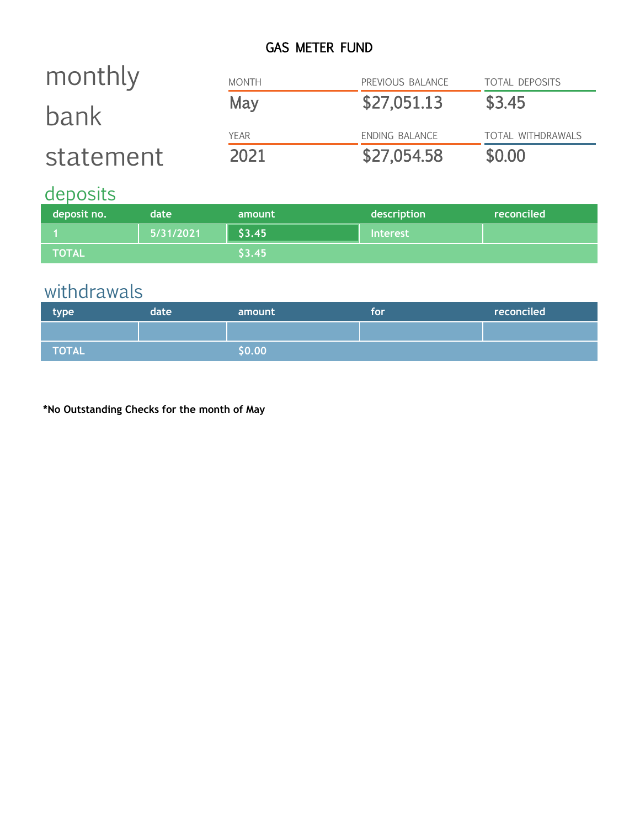# GAS METER FUND

| monthly   | <b>MONTH</b> | PREVIOUS BALANCE | <b>TOTAL DEPOSITS</b>    |
|-----------|--------------|------------------|--------------------------|
| bank      | May          | \$27,051.13      | \$3.45                   |
|           | <b>YFAR</b>  | ENDING BALANCE   | <b>TOTAL WITHDRAWALS</b> |
| statement | 2021         | \$27,054.58      | \$0.00                   |

# deposits

| deposit no.  | date      | amount | description     | reconciled |
|--------------|-----------|--------|-----------------|------------|
|              | 5/31/2021 | \$3.45 | <b>Interest</b> |            |
| <b>TOTAL</b> |           | \$3.45 |                 |            |

# withdrawals

| type  | date | amount   | tor | reconciled |
|-------|------|----------|-----|------------|
|       |      |          |     |            |
| TOTAL |      | \$0.00\$ |     |            |

**\*No Outstanding Checks for the month of May**